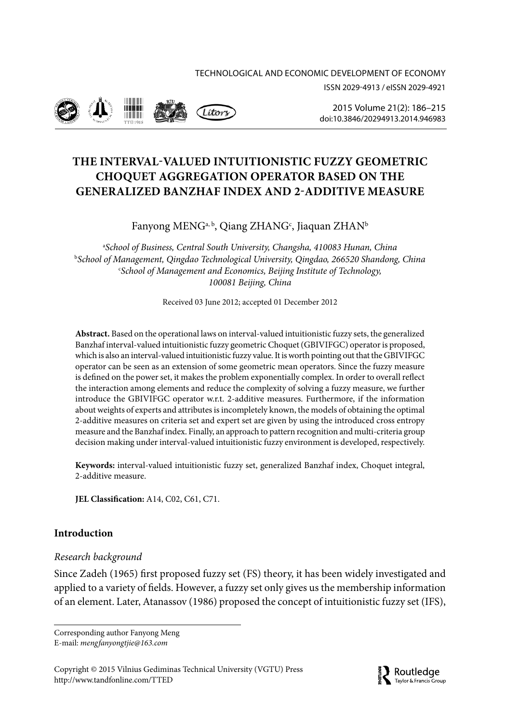

2015 Volume 21(2): 186–215 [doi:10.3846/20294913.2014.946983](http://dx.doi.org/10.3846/20294913.2014.946983)

# **THE INTERVAL-VALUED INTUITIONISTIC FUZZY GEOMETRIC CHOQUET AGGREGATION OPERATOR BASED ON THE GENERALIZED BANZHAF INDEX AND 2-ADDITIVE MEASURE**

# Fanyong MENG<sup>a, b</sup>, Qiang ZHANG<sup>c</sup>, Jiaquan ZHAN<sup>b</sup>

a *School of Business, Central South University, Changsha, 410083 Hunan, China* b *School of Management, Qingdao Technological University, Qingdao, 266520 Shandong, China* c *School of Management and Economics, Beijing Institute of Technology, 100081 Beijing, China*

Received 03 June 2012; accepted 01 December 2012

**Abstract.** Based on the operational laws on interval-valued intuitionistic fuzzy sets, the generalized Banzhaf interval-valued intuitionistic fuzzy geometric Choquet (GBIVIFGC) operator is proposed, which is also an interval-valued intuitionistic fuzzy value. It is worth pointing out that the GBIVIFGC operator can be seen as an extension of some geometric mean operators. Since the fuzzy measure is defined on the power set, it makes the problem exponentially complex. In order to overall reflect the interaction among elements and reduce the complexity of solving a fuzzy measure, we further introduce the GBIVIFGC operator w.r.t. 2-additive measures. Furthermore, if the information about weights of experts and attributes is incompletely known, the models of obtaining the optimal 2-additive measures on criteria set and expert set are given by using the introduced cross entropy measure and the Banzhaf index. Finally, an approach to pattern recognition and multi-criteria group decision making under interval-valued intuitionistic fuzzy environment is developed, respectively.

**Keywords:** interval-valued intuitionistic fuzzy set, generalized Banzhaf index, Choquet integral, 2-additive measure.

**JEL Classification:** A14, C02, C61, C71.

# **Introduction**

## *Research background*

Since Zadeh (1965) first proposed fuzzy set (FS) theory, it has been widely investigated and applied to a variety of fields. However, a fuzzy set only gives us the membership information of an element. Later, Atanassov (1986) proposed the concept of intuitionistic fuzzy set (IFS),

Corresponding author Fanyong Meng E-mail: *mengfanyongtjie@163.com*

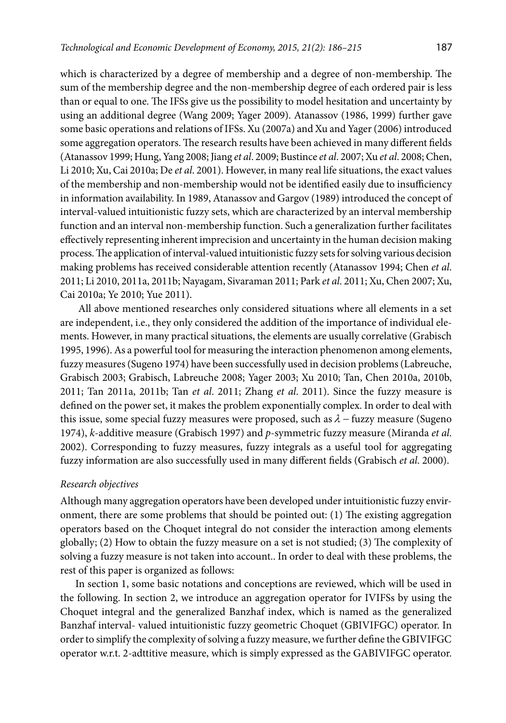which is characterized by a degree of membership and a degree of non-membership. The sum of the membership degree and the non-membership degree of each ordered pair is less than or equal to one. The IFSs give us the possibility to model hesitation and uncertainty by using an additional degree (Wang 2009; Yager 2009). Atanassov (1986, 1999) further gave some basic operations and relations of IFSs. Xu (2007a) and Xu and Yager (2006) introduced some aggregation operators. The research results have been achieved in many different fields (Atanassov 1999; Hung, Yang 2008; Jiang *et al*. 2009; Bustince *et al*. 2007; Xu *et al*. 2008; Chen, Li 2010; Xu, Cai 2010a; De *et al*. 2001). However, in many real life situations, the exact values of the membership and non-membership would not be identified easily due to insufficiency in information availability. In 1989, Atanassov and Gargov (1989) introduced the concept of interval-valued intuitionistic fuzzy sets, which are characterized by an interval membership function and an interval non-membership function. Such a generalization further facilitates effectively representing inherent imprecision and uncertainty in the human decision making process. The application of interval-valued intuitionistic fuzzy sets for solving various decision making problems has received considerable attention recently (Atanassov 1994; Chen *et al*. 2011; Li 2010, 2011a, 2011b; Nayagam, Sivaraman 2011; Park *et al*. 2011; Xu, Chen 2007; Xu, Cai 2010a; Ye 2010; Yue 2011).

 All above mentioned researches only considered situations where all elements in a set are independent, i.e., they only considered the addition of the importance of individual elements. However, in many practical situations, the elements are usually correlative (Grabisch 1995, 1996). As a powerful tool for measuring the interaction phenomenon among elements, fuzzy measures (Sugeno 1974) have been successfully used in decision problems (Labreuche, Grabisch 2003; Grabisch, Labreuche 2008; Yager 2003; Xu 2010; Tan, Chen 2010a, 2010b, 2011; Tan 2011a, 2011b; Tan *et al*. 2011; Zhang *et al*. 2011). Since the fuzzy measure is defined on the power set, it makes the problem exponentially complex. In order to deal with this issue, some special fuzzy measures were proposed, such as  $\lambda$  – fuzzy measure (Sugeno 1974), *k*-additive measure (Grabisch 1997) and *p*-symmetric fuzzy measure (Miranda *et al*. 2002). Corresponding to fuzzy measures, fuzzy integrals as a useful tool for aggregating fuzzy information are also successfully used in many different fields (Grabisch *et al*. 2000).

### *Research objectives*

Although many aggregation operators have been developed under intuitionistic fuzzy environment, there are some problems that should be pointed out: (1) The existing aggregation operators based on the Choquet integral do not consider the interaction among elements globally; (2) How to obtain the fuzzy measure on a set is not studied; (3) The complexity of solving a fuzzy measure is not taken into account.. In order to deal with these problems, the rest of this paper is organized as follows:

In section 1, some basic notations and conceptions are reviewed, which will be used in the following. In section 2, we introduce an aggregation operator for IVIFSs by using the Choquet integral and the generalized Banzhaf index, which is named as the generalized Banzhaf interval- valued intuitionistic fuzzy geometric Choquet (GBIVIFGC) operator. In order to simplify the complexity of solving a fuzzy measure, we further define the GBIVIFGC operator w.r.t. 2-adttitive measure, which is simply expressed as the GABIVIFGC operator.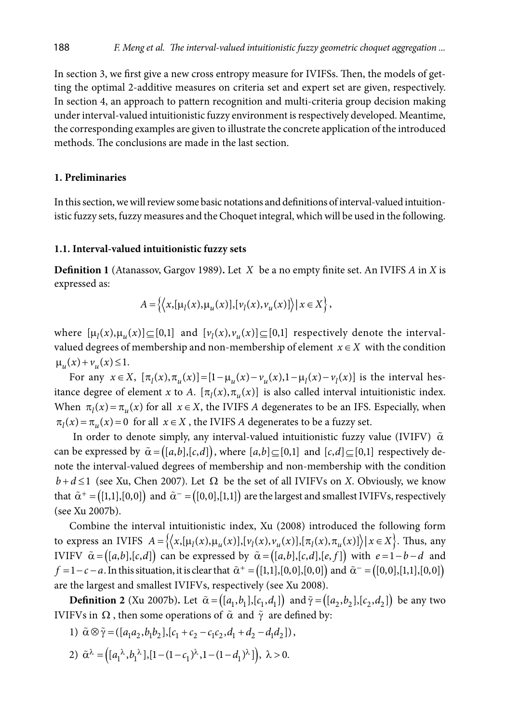In section 3, we first give a new cross entropy measure for IVIFSs. Then, the models of getting the optimal 2-additive measures on criteria set and expert set are given, respectively. In section 4, an approach to pattern recognition and multi-criteria group decision making under interval-valued intuitionistic fuzzy environment is respectively developed. Meantime, the corresponding examples are given to illustrate the concrete application of the introduced methods. The conclusions are made in the last section.

### **1. Preliminaries**

In this section, we will review some basic notations and definitions of interval-valued intuitionistic fuzzy sets, fuzzy measures and the Choquet integral, which will be used in the following.

### **1.1. Interval-valued intuitionistic fuzzy sets**

**Definition 1** (Atanassov, Gargov 1989)**.** Let *X* be a no empty finite set. An IVIFS *A* in *X* is expressed as:

$$
A = \left\{ \left\langle x, [\mu_l(x), \mu_u(x)], [\nu_l(x), \nu_u(x)] \right\rangle | x \in X \right\},\
$$

where  $[\mu_1(x), \mu_2(x)] \subseteq [0,1]$  and  $[\nu_1(x), \nu_2(x)] \subseteq [0,1]$  respectively denote the intervalvalued degrees of membership and non-membership of element  $x \in X$  with the condition  $\mu_u(x) + \nu_u(x) \leq 1.$ 

For any  $x \in X$ ,  $[\pi_1(x), \pi_2(x)] = [1 - \mu_1(x) - \nu_2(x), 1 - \mu_1(x) - \nu_1(x)]$  is the interval hesitance degree of element *x* to *A*.  $[\pi_1(x), \pi_2(x)]$  is also called interval intuitionistic index. When  $\pi_l(x) = \pi_u(x)$  for all  $x \in X$ , the IVIFS *A* degenerates to be an IFS. Especially, when  $\pi_l(x) = \pi_u(x) = 0$  for all  $x \in X$ , the IVIFS *A* degenerates to be a fuzzy set.

In order to denote simply, any interval-valued intuitionistic fuzzy value (IVIFV)  $\tilde{\alpha}$ can be expressed by  $\tilde{\alpha} = ([a,b],[c,d])$ , where  $[a,b] \subseteq [0,1]$  and  $[c,d] \subseteq [0,1]$  respectively denote the interval-valued degrees of membership and non-membership with the condition  $b+d≤1$  (see Xu, Chen 2007). Let  $\Omega$  be the set of all IVIFVs on *X*. Obviously, we know that  $\tilde{\alpha}^+ = ([1,1],[0,0])$  and  $\tilde{\alpha}^- = ([0,0],[1,1])$  are the largest and smallest IVIFVs, respectively (see Xu 2007b).

Combine the interval intuitionistic index, Xu (2008) introduced the following form to express an IVIFS  $A = \{ \langle x, [\mu_l(x), \mu_u(x)], [\nu_l(x), \nu_u(x)], [\pi_l(x), \pi_u(x)] \rangle | x \in X \}.$  Thus, any IVIFV  $\tilde{\alpha} = ( [a,b], [c,d] )$  can be expressed by  $\tilde{\alpha} = ( [a,b], [c,d], [e,f] )$  with  $e = 1-b-d$  and *f* =1−*c*−*a*. In this situation, it is clear that  $\tilde{\alpha}^+$  = ([1,1],[0,0],[0,0]) and  $\tilde{\alpha}^-$  = ([0,0],[1,1],[0,0]) are the largest and smallest IVIFVs, respectively (see Xu 2008).

**Definition 2** (Xu 2007b). Let  $\tilde{\alpha} = ([a_1, b_1], [c_1, d_1])$  and  $\tilde{\gamma} = ([a_2, b_2], [c_2, d_2])$  be any two IVIFVs in  $\Omega$ , then some operations of  $\tilde{\alpha}$  and  $\tilde{\gamma}$  are defined by:

- 1)  $\tilde{\alpha} \otimes \tilde{\gamma} = (\left[ a_1 a_2, b_1 b_2 \right], \left[ c_1 + c_2 c_1 c_2, d_1 + d_2 d_1 d_2 \right]),$
- 2)  $\tilde{\alpha}^{\lambda} = ((a_1^{\lambda}, b_1^{\lambda}), [1 (1 c_1)^{\lambda}, 1 (1 d_1)^{\lambda}]), \lambda > 0.$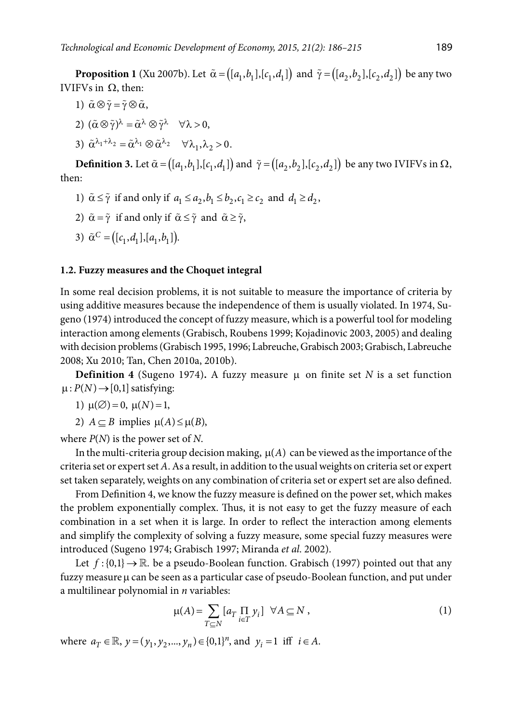**Proposition 1** (Xu 2007b). Let  $\tilde{\alpha} = ([a_1, b_1], [c_1, d_1])$  and  $\tilde{\gamma} = ([a_2, b_2], [c_2, d_2])$  be any two IVIFVs in Ω, then:

- 1)  $\tilde{\alpha} \otimes \tilde{\gamma} = \tilde{\gamma} \otimes \tilde{\alpha}$
- 2)  $({\tilde{\alpha}} \otimes {\tilde{\gamma}})^{\lambda} = {\tilde{\alpha}}^{\lambda} \otimes {\tilde{\gamma}}^{\lambda} \quad \forall \lambda > 0,$
- 3)  $\tilde{\alpha}^{\lambda_1 + \lambda_2} = \tilde{\alpha}^{\lambda_1} \otimes \tilde{\alpha}^{\lambda_2} \quad \forall \lambda_1, \lambda_2 > 0.$

**Definition 3.** Let  $\tilde{\alpha} = (\begin{bmatrix} a_1, b_1 \end{bmatrix}, \begin{bmatrix} c_1, d_1 \end{bmatrix})$  and  $\tilde{\gamma} = (\begin{bmatrix} a_2, b_2 \end{bmatrix}, \begin{bmatrix} c_2, d_2 \end{bmatrix})$  be any two IVIFVs in  $\Omega$ , then:

- 1)  $\tilde{\alpha} \leq \tilde{\gamma}$  if and only if  $a_1 \leq a_2, b_1 \leq b_2, c_1 \geq c_2$  and  $d_1 \geq d_2$ ,
- 2)  $\tilde{\alpha} = \tilde{\gamma}$  if and only if  $\tilde{\alpha} \leq \tilde{\gamma}$  and  $\tilde{\alpha} \geq \tilde{\gamma}$ ,
- 3)  $\tilde{\alpha}^C = ([c_1, d_1], [a_1, b_1]).$

### **1.2. Fuzzy measures and the Choquet integral**

In some real decision problems, it is not suitable to measure the importance of criteria by using additive measures because the independence of them is usually violated. In 1974, Sugeno (1974) introduced the concept of fuzzy measure, which is a powerful tool for modeling interaction among elements (Grabisch, Roubens 1999; Kojadinovic 2003, 2005) and dealing with decision problems (Grabisch 1995, 1996; Labreuche, Grabisch 2003; Grabisch, Labreuche 2008; Xu 2010; Tan, Chen 2010a, 2010b).

**Definition 4** (Sugeno 1974). A fuzzy measure  $\mu$  on finite set *N* is a set function  $\mu$ :  $P(N) \rightarrow [0,1]$  satisfying:

- 1)  $\mu(\emptyset) = 0$ ,  $\mu(N) = 1$ ,
- 2)  $A \subseteq B$  implies  $\mu(A) \leq \mu(B)$ ,

where *P*(*N*) is the power set of *N*.

In the multi-criteria group decision making,  $\mu(A)$  can be viewed as the importance of the criteria set or expert set *A*. As a result, in addition to the usual weights on criteria set or expert set taken separately, weights on any combination of criteria set or expert set are also defined.

From Definition 4, we know the fuzzy measure is defined on the power set, which makes the problem exponentially complex. Thus, it is not easy to get the fuzzy measure of each combination in a set when it is large. In order to reflect the interaction among elements and simplify the complexity of solving a fuzzy measure, some special fuzzy measures were introduced (Sugeno 1974; Grabisch 1997; Miranda *et al*. 2002).

Let  $f$ : {0,1}  $\rightarrow \mathbb{R}$ . be a pseudo-Boolean function. Grabisch (1997) pointed out that any fuzzy measure µ can be seen as a particular case of pseudo-Boolean function, and put under a multilinear polynomial in *n* variables:

$$
\mu(A) = \sum_{T \subseteq N} [a_T \prod_{i \in T} y_i] \quad \forall A \subseteq N \,, \tag{1}
$$

where  $a_T \in \mathbb{R}$ ,  $y = (y_1, y_2, ..., y_n) \in \{0,1\}^n$ , and  $y_i = 1$  iff  $i \in A$ .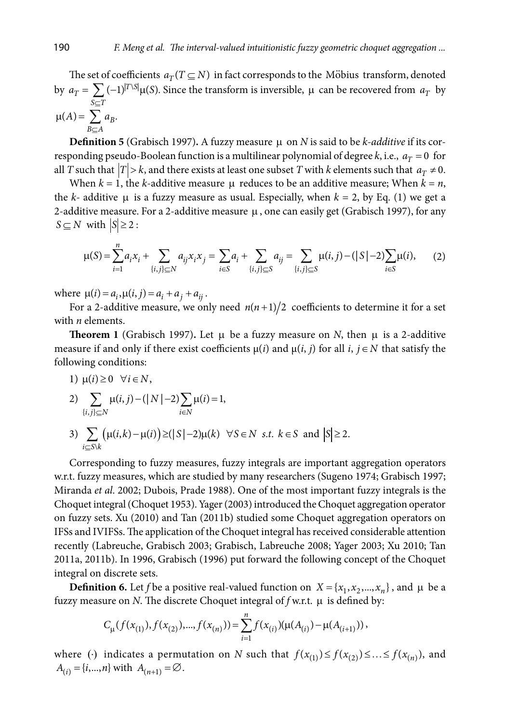The set of coefficients  $a_T(T \subseteq N)$  in fact corresponds to the Möbius transform, denoted by  $a_T = \sum_{r} (-1)^{|T \setminus S|} \mu(S)$  $S \subseteq T$ *S*  $\sum_{S \subseteq T} (-1)^{|T \setminus S|} \mu(S)$ . Since the transform is inversible,  $\mu$  can be recovered from  $a_T$  by  $(A) = \sum a_B$  $B \subseteq A$  $A) = \sum a$  $\mu(A) = \sum_{B \subseteq A} a_B.$ 

**Definition 5** (Grabisch 1997). A fuzzy measure  $\mu$  on *N* is said to be *k*-*additive* if its corresponding pseudo-Boolean function is a multilinear polynomial of degree  $k$ , i.e.,  $a_T = 0$  for all *T* such that  $|T| > k$ , and there exists at least one subset *T* with *k* elements such that  $a_T \neq 0$ .

When  $k = 1$ , the *k*-additive measure  $\mu$  reduces to be an additive measure; When  $k = n$ , the *k*- additive  $\mu$  is a fuzzy measure as usual. Especially, when  $k = 2$ , by Eq. (1) we get a 2-additive measure. For a 2-additive measure  $\mu$ , one can easily get (Grabisch 1997), for any  $S \subseteq N$  with  $|S| \geq 2$ :

$$
\mu(S) = \sum_{i=1}^{n} a_i x_i + \sum_{\{i,j\} \subseteq N} a_{ij} x_i x_j = \sum_{i \in S} a_i + \sum_{\{i,j\} \subseteq S} a_{ij} = \sum_{\{i,j\} \subseteq S} \mu(i,j) - (|S| - 2) \sum_{i \in S} \mu(i),
$$
 (2)

where  $\mu(i) = a_i, \mu(i, j) = a_i + a_j + a_{ij}$ .

For a 2-additive measure, we only need  $n(n+1)/2$  coefficients to determine it for a set with *n* elements.

**Theorem 1** (Grabisch 1997). Let  $\mu$  be a fuzzy measure on *N*, then  $\mu$  is a 2-additive measure if and only if there exist coefficients  $\mu(i)$  and  $\mu(i, j)$  for all *i*,  $j \in N$  that satisfy the following conditions:

1)  $\mu(i) \geq 0 \quad \forall i \in N$ ,

2) 
$$
\sum_{\{i,j\} \subseteq N} \mu(i,j) - (|N|-2) \sum_{i \in N} \mu(i) = 1,
$$

3)  $\sum (\mu(i,k) - \mu(i))$ \  $(\lambda(i, k) - \mu(i) ) \geq (|S| - 2)\mu(k)$ *i Sk*  $(i,k) - \mu(i) \geq (|S| - 2)\mu(k)$  $\sum_{k \in \mathcal{S}(k)} (\mu(i,k) - \mu(i)) \geq (|S| - 2)\mu(k) \quad \forall S \in \mathbb{N} \text{ s.t. } k \in \mathbb{S} \text{ and } |S| \geq 2.$ 

Corresponding to fuzzy measures, fuzzy integrals are important aggregation operators w.r.t. fuzzy measures, which are studied by many researchers (Sugeno 1974; Grabisch 1997; Miranda *et al*. 2002; Dubois, Prade 1988). One of the most important fuzzy integrals is the Choquet integral (Choquet 1953). Yager (2003) introduced the Choquet aggregation operator on fuzzy sets. Xu (2010) and Tan (2011b) studied some Choquet aggregation operators on IFSs and IVIFSs. The application of the Choquet integral has received considerable attention recently (Labreuche, Grabisch 2003; Grabisch, Labreuche 2008; Yager 2003; Xu 2010; Tan 2011a, 2011b). In 1996, Grabisch (1996) put forward the following concept of the Choquet integral on discrete sets.

**Definition 6.** Let *f* be a positive real-valued function on  $X = \{x_1, x_2, ..., x_n\}$ , and  $\mu$  be a fuzzy measure on *N*. The discrete Choquet integral of *f* w.r.t. µ is defined by:

$$
C_{\mu}(f(x_{(1)}), f(x_{(2)}),..., f(x_{(n)})) = \sum_{i=1}^{n} f(x_{(i)})(\mu(A_{(i)}) - \mu(A_{(i+1)})),
$$

where (*·*) indicates a permutation on *N* such that  $f(x_{(1)}) \le f(x_{(2)}) \le ... \le f(x_{(n)})$ , and  $A_{(i)} = \{i, ..., n\}$  with  $A_{(n+1)} = \emptyset$ .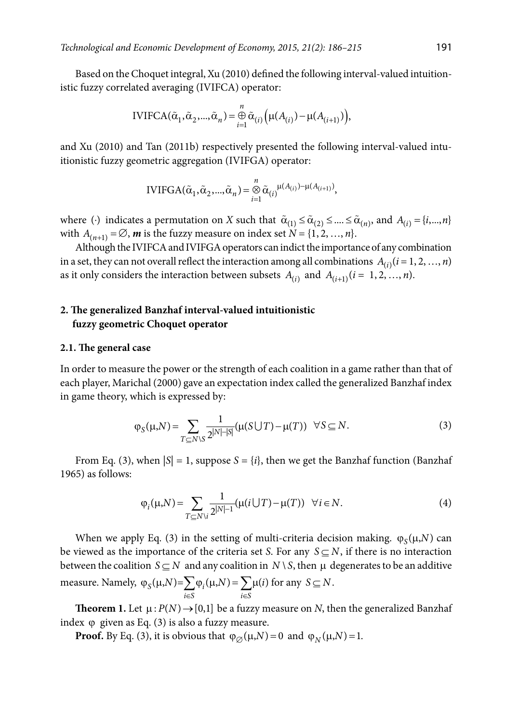Based on the Choquet integral, Xu (2010) defined the following interval-valued intuitionistic fuzzy correlated averaging (IVIFCA) operator:

IVIFCA(
$$
\tilde{\alpha}_1, \tilde{\alpha}_2, ..., \tilde{\alpha}_n
$$
) =  $\bigoplus_{i=1}^n \tilde{\alpha}_{(i)} \Big( \mu(A_{(i)}) - \mu(A_{(i+1)}) \Big)$ ,

and Xu (2010) and Tan (2011b) respectively presented the following interval-valued intuitionistic fuzzy geometric aggregation (IVIFGA) operator:

IVIFGA(
$$
\tilde{\alpha}_1, \tilde{\alpha}_2, ..., \tilde{\alpha}_n
$$
) =  $\bigotimes_{i=1}^n \tilde{\alpha}_{(i)}^{\mu(A_{(i)}) - \mu(A_{(i+1)})}$ ,

where (·) indicates a permutation on *X* such that  $\tilde{\alpha}_{(1)} \leq \tilde{\alpha}_{(2)} \leq ... \leq \tilde{\alpha}_{(n)}$ , and  $A_{(i)} = \{i,...,n\}$ with  $A_{(n+1)} = \emptyset$ , **m** is the fuzzy measure on index set  $N = \{1, 2, ..., n\}$ .

Although the IVIFCA and IVIFGA operators can indict the importance of any combination in a set, they can not overall reflect the interaction among all combinations  $A_{(i)}$  ( $i = 1, 2, ..., n$ ) as it only considers the interaction between subsets  $A_{(i)}$  and  $A_{(i+1)}$  ( $i = 1, 2, ..., n$ ).

## **2. The generalized Banzhaf interval-valued intuitionistic fuzzy geometric Choquet operator**

#### **2.1. The general case**

In order to measure the power or the strength of each coalition in a game rather than that of each player, Marichal (2000) gave an expectation index called the generalized Banzhaf index in game theory, which is expressed by:

$$
\varphi_S(\mu, N) = \sum_{T \subseteq N \setminus S} \frac{1}{2^{|N| - |S|}} (\mu(S \cup T) - \mu(T)) \quad \forall S \subseteq N.
$$
\n(3)

From Eq. (3), when  $|S| = 1$ , suppose  $S = \{i\}$ , then we get the Banzhaf function (Banzhaf 1965) as follows:

$$
\varphi_i(\mu, N) = \sum_{T \subseteq N \setminus i} \frac{1}{2^{|N|-1}} (\mu(i \cup T) - \mu(T)) \quad \forall i \in N.
$$
\n(4)

When we apply Eq. (3) in the setting of multi-criteria decision making.  $\varphi_{\rm S}(\mu, N)$  can be viewed as the importance of the criteria set *S*. For any  $S \subseteq N$ , if there is no interaction between the coalition  $S \subseteq N$  and any coalition in  $N \setminus S$ , then  $\mu$  degenerates to be an additive measure. Namely,  $\varphi_S(\mu, N) = \sum \varphi_i(\mu, N) = \sum \mu(i)$ *i S i S*  $N = \sum \varphi_i(\mu, N) = \sum \mu(i)$  $\varphi_S(\mu, N) = \sum_{i \in S} \varphi_i(\mu, N) = \sum_{i \in S} \mu(i)$  for any  $S \subseteq N$ .

**Theorem 1.** Let  $\mu$ :  $P(N) \rightarrow [0,1]$  be a fuzzy measure on *N*, then the generalized Banzhaf index  $\varphi$  given as Eq. (3) is also a fuzzy measure.

**Proof.** By Eq. (3), it is obvious that  $\varphi_{\emptyset}(\mu, N) = 0$  and  $\varphi_{N}(\mu, N) = 1$ .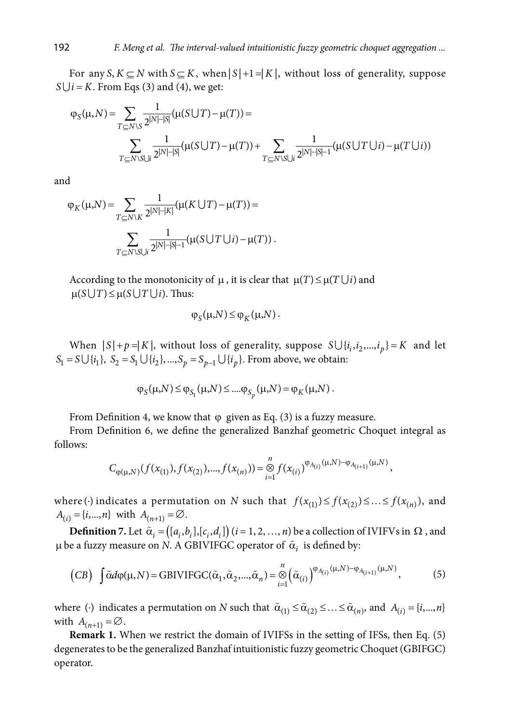For any *S*,  $K \subset N$  with  $S \subset K$ , when  $|S|+1 = |K|$ , without loss of generality, suppose  $S \cup i = K$ . From Eqs (3) and (4), we get:

$$
\varphi_{S}(\mu, N) = \sum_{T \subseteq N \setminus S} \frac{1}{2^{|N| - |S|}} (\mu(S \cup T) - \mu(T)) =
$$
  

$$
\sum_{T \subseteq N \setminus S \cup i} \frac{1}{2^{|N| - |S|}} (\mu(S \cup T) - \mu(T)) + \sum_{T \subseteq N \setminus S \cup i} \frac{1}{2^{|N| - |S| - 1}} (\mu(S \cup T \cup i) - \mu(T \cup i))
$$

and

$$
\varphi_K(\mu, N) = \sum_{T \subseteq N \setminus K} \frac{1}{2^{|N| - |K|}} (\mu(K \cup T) - \mu(T)) =
$$
  

$$
\sum_{T \subseteq N \setminus S \cup i} \frac{1}{2^{|N| - |S| - 1}} (\mu(S \cup T \cup i) - \mu(T)).
$$

According to the monotonicity of  $\mu$ , it is clear that  $\mu(T) \leq \mu(T \cup i)$  and  $\mu(S \cup T) \leq \mu(S \cup T \cup i)$ . Thus:

$$
\varphi_S(\mu, N) \leq \varphi_K(\mu, N).
$$

When  $|S| + p = |K|$ , without loss of generality, suppose  $S \cup \{i_i, i_2, ..., i_p\} = K$  and let  $S_1 = S \cup \{i_1\}, S_2 = S_1 \cup \{i_2\},..., S_p = S_{p-1} \cup \{i_p\}.$  From above, we obtain:

$$
\varphi_S(\mu, N) \le \varphi_{S_1}(\mu, N) \le \dots \varphi_{S_p}(\mu, N) = \varphi_K(\mu, N).
$$

From Definition 4, we know that  $\varphi$  given as Eq. (3) is a fuzzy measure.

From Definition 6, we define the generalized Banzhaf geometric Choquet integral as follows:

$$
C_{\varphi(\mu,N)}(f(x_{(1)}),f(x_{(2)}),...,f(x_{(n)})) = \mathop{\otimes}\limits_{i=1}^{n} f(x_{(i)})^{\varphi_{A_{(i)}}(\mu,N)-\varphi_{A_{(i+1)}}(\mu,N)},
$$

where (*·*) indicates a permutation on *N* such that  $f(x_{(1)}) \le f(x_{(2)}) \le ... \le f(x_{(n)})$ , and  $A_{(i)} = \{i, ..., n\}$  with  $A_{(n+1)} = \emptyset$ .

**Definition 7.** Let  $\tilde{\alpha}_i = (\left[a_i, b_i\right], \left[c_i, d_i\right])$  ( $i = 1, 2, ..., n$ ) be a collection of IVIFVs in  $\Omega$ , and  $\mu$  be a fuzzy measure on *N*. A GBIVIFGC operator of  $\tilde{\alpha}_i$  is defined by:

$$
(CB) \quad \int \tilde{\alpha}d\varphi(\mu,N) = \text{GBIVIFGC}(\tilde{\alpha}_1, \tilde{\alpha}_2, ..., \tilde{\alpha}_n) = \bigotimes_{i=1}^n \left(\tilde{\alpha}_{(i)}\right)^{\varphi_{A_{(i)}}(\mu,N) - \varphi_{A_{(i+1)}}(\mu,N)},\tag{5}
$$

where (*·*) indicates a permutation on *N* such that  $\tilde{\alpha}_{(1)} \leq \tilde{\alpha}_{(2)} \leq ... \leq \tilde{\alpha}_{(n)}$ , and  $A_{(i)} = \{i,...,n\}$ with  $A_{(n+1)} = \emptyset$ .

**Remark 1.** When we restrict the domain of IVIFSs in the setting of IFSs, then Eq. (5) degenerates to be the generalized Banzhaf intuitionistic fuzzy geometric Choquet (GBIFGC) operator.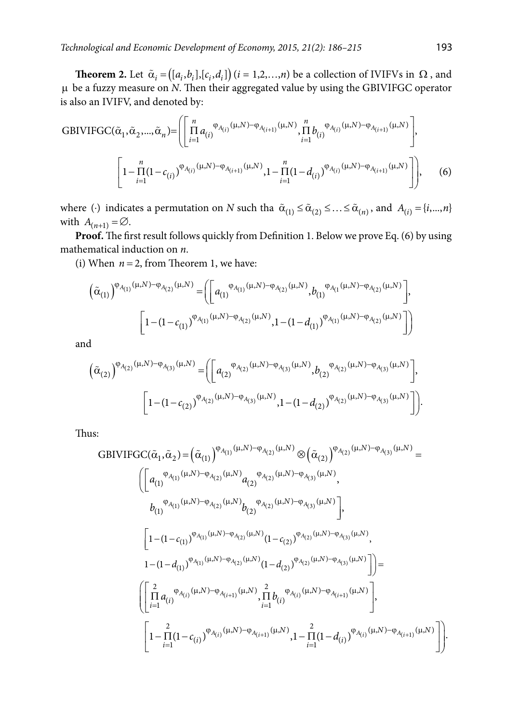**Theorem 2.** Let  $\tilde{\alpha}_i = ((a_i, b_i], [c_i, d_i])$  ( $i = 1, 2, ..., n$ ) be a collection of IVIFVs in  $\Omega$ , and µ be a fuzzy measure on *N*. Then their aggregated value by using the GBIVIFGC operator is also an IVIFV, and denoted by:

GBIVIFGC(
$$
\tilde{\alpha}_1, \tilde{\alpha}_2, ..., \tilde{\alpha}_n
$$
)= $\left( \prod_{i=1}^n a_{(i)}^{\varphi_{A_{(i)}}(\mu, N) - \varphi_{A_{(i+1)}}(\mu, N)}, \prod_{i=1}^n b_{(i)}^{\varphi_{A_{(i)}}(\mu, N) - \varphi_{A_{(i+1)}}(\mu, N)} \right),$   
 $\left[ 1 - \prod_{i=1}^n (1 - c_{(i)})^{\varphi_{A_{(i)}}(\mu, N) - \varphi_{A_{(i+1)}}(\mu, N)}, 1 - \prod_{i=1}^n (1 - d_{(i)})^{\varphi_{A_{(i)}}(\mu, N) - \varphi_{A_{(i+1)}}(\mu, N)} \right],$  (6)

where (·) indicates a permutation on *N* such tha  $\tilde{\alpha}_{(1)} \leq \tilde{\alpha}_{(2)} \leq ... \leq \tilde{\alpha}_{(n)}$ , and  $A_{(i)} = \{i,...,n\}$ with  $A_{(n+1)} = \emptyset$ .

**Proof.** The first result follows quickly from Definition 1. Below we prove Eq. (6) by using mathematical induction on *n*.

(i) When  $n = 2$ , from Theorem 1, we have:

$$
\left(\tilde{\alpha}_{(1)}\right)^{\varphi_{A_{(1)}}(\mu,N)-\varphi_{A_{(2)}}(\mu,N)} = \left(\left[a_{(1)}^{\varphi_{A_{(1)}}(\mu,N)-\varphi_{A_{(2)}}(\mu,N)},b_{(1)}^{\varphi_{A_{(1}}(\mu,N)-\varphi_{A_{(2)}}(\mu,N)}\right],\right.\left.\left.\left[\left.1-(1-c_{(1)})^{\varphi_{A_{(1)}}(\mu,N)-\varphi_{A_{(2)}}(\mu,N)},1-(1-d_{(1)})^{\varphi_{A_{(1)}}(\mu,N)-\varphi_{A_{(2)}}(\mu,N)}\right]\right)\right)\right]
$$

and

$$
\left(\tilde{\alpha}_{(2)}\right)^{\varphi_{A_{(2)}}(\mu,N)-\varphi_{A_{(3)}}(\mu,N)} = \left( \left[ a_{(2)}^{\varphi_{A_{(2)}}(\mu,N)-\varphi_{A_{(3)}}(\mu,N)}, b_{(2)}^{\varphi_{A_{(2)}}(\mu,N)-\varphi_{A_{(3)}}(\mu,N)} \right],
$$
  

$$
\left[ 1 - (1 - c_{(2)})^{\varphi_{A_{(2)}}(\mu,N)-\varphi_{A_{(3)}}(\mu,N)}, 1 - (1 - d_{(2)})^{\varphi_{A_{(2)}}(\mu,N)-\varphi_{A_{(3)}}(\mu,N)} \right] \right).
$$

Thus:

GBIVIFGC(
$$
\tilde{\alpha}_1
$$
,  $\tilde{\alpha}_2$ ) = ( $\tilde{\alpha}_{(1)}$ )<sup>Φ</sup><sub>A(1)</sub>( $\mu, N$ ) –  $\phi_{A(2)}$ ( $\mu, N$ )  $\otimes$  ( $\tilde{\alpha}_{(2)}$ )<sup>Φ</sup><sub>A(2)</sub>( $\mu, N$ ) –  $\phi_{A(3)}$ ( $\mu, N$ ) =  
\n
$$
\left[ a_{(1)}^{Φ_{A(1)}(\mu, N) - ϕ_{A(2)}(\mu, N)} a_{(2)}^{Φ_{A(2)}(\mu, N) - ϕ_{A(3)}(\mu, N)},
$$
\n
$$
b_{(1)}^{Φ_{A(1)}(\mu, N) - ϕ_{A(2)}(\mu, N)} b_{(2)}^{Φ_{A(2)}(\mu, N) - ϕ_{A(3)}(\mu, N)} \right],
$$
\n
$$
\left[ 1 - (1 - c_{(1)})^{Φ_{A(1)}(\mu, N) - φ_{A(2)}(\mu, N)} (1 - c_{(2)})^{Φ_{A(2)}(\mu, N) - φ_{A(3)}(\mu, N)},
$$
\n
$$
1 - (1 - d_{(1)})^{Φ_{A(1)}(\mu, N) - φ_{A(2)}(\mu, N)} (1 - d_{(2)})^{Φ_{A(2)}(\mu, N) - φ_{A(3)}(\mu, N)} \right] \right] =
$$
\n
$$
\left( \left[ \prod_{i=1}^{2} a_{(i)}^{Φ_{A(i)}(\mu, N) - φ_{A(i+1)}(\mu, N)}, \prod_{i=1}^{2} b_{(i)}^{Φ_{A(i)}(\mu, N) - φ_{A(i+1)}(\mu, N)} \right],
$$
\n
$$
\left[ 1 - \prod_{i=1}^{2} (1 - c_{(i)})^{Φ_{A(i)}(\mu, N) - φ_{A(i+1)}(\mu, N)}, 1 - \prod_{i=1}^{2} (1 - d_{(i)})^{Φ_{A(i)}(\mu, N) - φ_{A(i+1)}(\mu, N)} \right] \right)
$$

.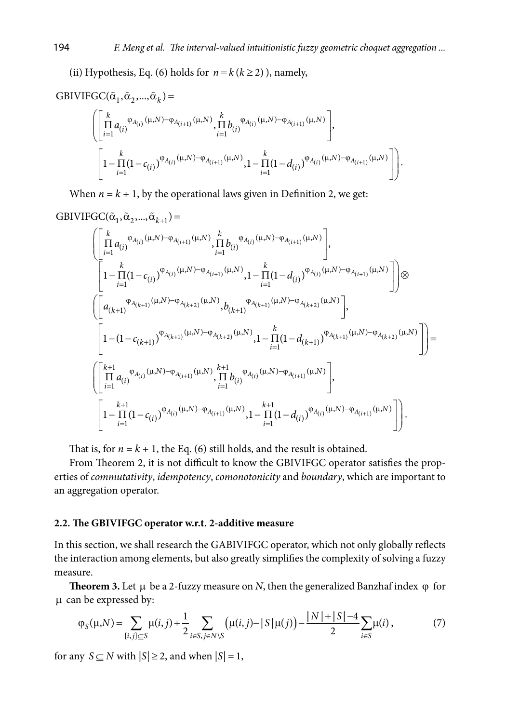(ii) Hypothesis, Eq. (6) holds for  $n = k (k \ge 2)$ ), namely,

$$
\operatorname{GBIVIFGC}(\tilde{\alpha}_1, \tilde{\alpha}_2, ..., \tilde{\alpha}_k) \! = \!
$$

$$
\left( \left[ \prod_{i=1}^{k} a_{(i)} \, \varphi_{A_{(i)}}(\mu, N) - \varphi_{A_{(i+1)}}(\mu, N) \prod_{i=1}^{k} b_{(i)} \, \varphi_{A_{(i)}}(\mu, N) - \varphi_{A_{(i+1)}}(\mu, N) \right],
$$
\n
$$
\left[ 1 - \prod_{i=1}^{k} (1 - c_{(i)}) \, \varphi_{A_{(i)}}(\mu, N) - \varphi_{A_{(i+1)}}(\mu, N) \prod_{i=1}^{k} (1 - d_{(i)}) \, \varphi_{A_{(i)}}(\mu, N) - \varphi_{A_{(i+1)}}(\mu, N) \right] \right].
$$

When  $n = k + 1$ , by the operational laws given in Definition 2, we get:

$$
GBIVIFGC(\tilde{\alpha}_1, \tilde{\alpha}_2, ..., \tilde{\alpha}_{k+1}) =
$$

$$
\begin{split} &\left(\left[\prod_{i=1}^{k} a_{(i)}^{\varphi_{A_{(i)}}(\mu,N)-\varphi_{A_{(i+1)}}(\mu,N)},\prod_{i=1}^{k} b_{(i)}^{\varphi_{A_{(i)}}(\mu,N)-\varphi_{A_{(i+1)}}(\mu,N)}\right],\\ &\left[1-\prod_{i=1}^{k} (1-c_{(i)})^{\varphi_{A_{(i)}}(\mu,N)-\varphi_{A_{(i+1)}}(\mu,N)},1-\prod_{i=1}^{k} (1-d_{(i)})^{\varphi_{A_{(i)}}(\mu,N)-\varphi_{A_{(i+1)}}(\mu,N)}\right]\right)\otimes \\ &\left(\left[\begin{array}{l} a_{(k+1)}^{\varphi_{A_{(k+1)}}(\mu,N)-\varphi_{A_{(k+2)}}(\mu,N)},b_{(k+1)}^{\varphi_{A_{(k+1)}}(\mu,N)-\varphi_{A_{(k+2)}}(\mu,N)}\end{array}\right],\\ &\left[1-(1-c_{(k+1)})^{\varphi_{A_{(k+1)}}(\mu,N)-\varphi_{A_{(k+2)}}(\mu,N)},1-\prod_{i=1}^{k} (1-d_{(k+1)})^{\varphi_{A_{(k+1)}}(\mu,N)-\varphi_{A_{(k+2)}}(\mu,N)}\right]\right) = \\ &\left(\left[\begin{array}{l} k+1\\ \prod_{i=1}^{k} a_{(i)}^{\varphi_{A_{(i)}}(\mu,N)-\varphi_{A_{(i+1)}}(\mu,N)},\prod_{i=1}^{k+1} b_{(i)}^{\varphi_{A_{(i)}}(\mu,N)-\varphi_{A_{(i+1)}}(\mu,N)}\end{array}\right],\\ &\left[1-\prod_{i=1}^{k+1} (1-c_{(i)})^{\varphi_{A_{(i)}}(\mu,N)-\varphi_{A_{(i+1)}}(\mu,N)},1-\prod_{i=1}^{k+1} (1-d_{(i)})^{\varphi_{A_{(i)}}(\mu,N)-\varphi_{A_{(i+1)}}(\mu,N)}\right]\right]. \end{split}
$$

That is, for  $n = k + 1$ , the Eq. (6) still holds, and the result is obtained.

From Theorem 2, it is not difficult to know the GBIVIFGC operator satisfies the properties of *commutativity*, *idempotency*, *comonotonicity* and *boundary*, which are important to an aggregation operator.

### **2.2. The GBIVIFGC operator w.r.t. 2-additive measure**

In this section, we shall research the GABIVIFGC operator, which not only globally reflects the interaction among elements, but also greatly simplifies the complexity of solving a fuzzy measure.

**Theorem 3.** Let  $\mu$  be a 2-fuzzy measure on *N*, then the generalized Banzhaf index  $\varphi$  for µ can be expressed by:

$$
\varphi_{S}(\mu, N) = \sum_{\{i, j\} \subseteq S} \mu(i, j) + \frac{1}{2} \sum_{i \in S, j \in N \setminus S} \left( \mu(i, j) - |S| \mu(j) \right) - \frac{|N| + |S| - 4}{2} \sum_{i \in S} \mu(i),\tag{7}
$$

for any  $S \subseteq N$  with  $|S| \ge 2$ , and when  $|S| = 1$ ,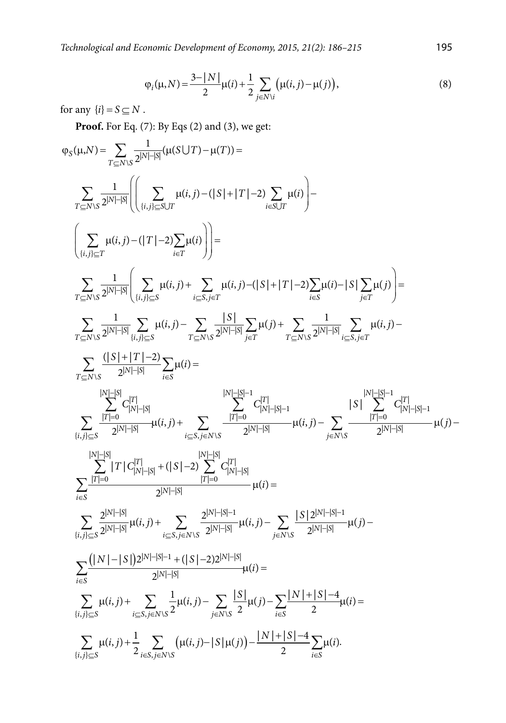*Technological and Economic Development of Economy, 2015, 21(2): 186–215* 195

$$
\varphi_i(\mu, N) = \frac{3 - |N|}{2} \mu(i) + \frac{1}{2} \sum_{j \in N \setminus i} \left( \mu(i, j) - \mu(j) \right),\tag{8}
$$

for any  ${i} = S \subseteq N$ .

**Proof.** For Eq. (7): By Eqs (2) and (3), we get:

$$
\varphi_{S}(\mu,N) = \sum_{T \subseteq N \setminus S} \frac{1}{2^{|N| - |S|}} \left( \left( \sum_{\{i,j\} \subseteq S \setminus T} \mu(i,j) - (|S| + |T| - 2) \sum_{i \in S \setminus T} \mu(i) \right) - \sum_{\{i \in S \setminus T} \mu(i,j) - (|T| - 2) \sum_{i \in T} \mu(i,j) - (|S| + |T| - 2) \sum_{i \in S \setminus T} \mu(i) \right) - \sum_{\{i,j\} \subseteq T} \frac{1}{2^{|N| - |S|}} \left( \sum_{\{i,j\} \subseteq S} \mu(i,j) + \sum_{i \in S, j \in T} \mu(i,j) - (|S| + |T| - 2) \sum_{i \in S} \mu(i) - |S| \sum_{j \in T} \mu(j) \right) = \sum_{T \subseteq N \setminus S} \frac{1}{2^{|N| - |S|}} \sum_{\{i,j\} \subseteq S} \mu(i,j) - \sum_{T \subseteq N \setminus S} \frac{|S|}{2^{|N| - |S|}} \sum_{j \in T} \mu(j) + \sum_{T \subseteq N \setminus S} \frac{1}{2^{|N| - |S|}} \sum_{i \in S, j \in T} \mu(i,j) - \sum_{T \subseteq N \setminus S} \frac{1}{2^{|N| - |S|}} \sum_{j \in T} \mu(j) = \sum_{T \subseteq N \setminus S} \frac{1}{2^{|N| - |S|}} \sum_{j \in T} \mu(i) = \sum_{\{i,j\} \subseteq S} \frac{1}{2^{|N| - |S|}} \sum_{\{i,j\} \subseteq S} \mu(i) = \sum_{\{i,j\} \subseteq S} \frac{1}{2^{|N| - |S|}} \mu(i,j) + \sum_{\{i \in S, j \in N \setminus S} \frac{|T| - |S|}{2^{|N| - |S|}} \mu(i,j) - \sum_{j \in N \setminus S} \frac{|T| - |S|}{2^{|N| - |S|}} \mu(i) - \sum_{j \in N \setminus S} \frac{|T| - |S|}{2^{|N| - |S|}} \mu(i) - \sum_{\{i \in S} \subseteq S} \frac{1}{2^{|N| - |S|}} \mu(i) + \sum_{\{i,j\} \subseteq S} \frac{1}{2^{|N| - |S|}}
$$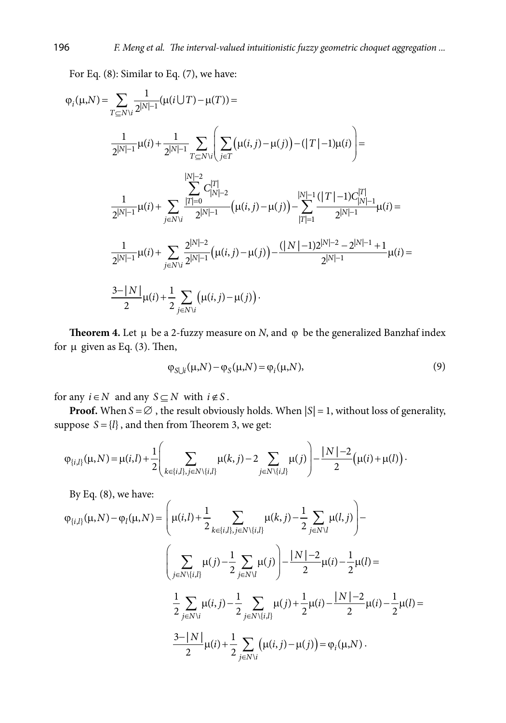For Eq. (8): Similar to Eq. (7), we have:

$$
\varphi_{i}(\mu,N) = \sum_{T \subseteq N \setminus i} \frac{1}{2^{|N|-1}} (\mu(i \cup T) - \mu(T)) =
$$
\n
$$
\frac{1}{2^{|N|-1}} \mu(i) + \frac{1}{2^{|N|-1}} \sum_{T \subseteq N \setminus i} \left( \sum_{j \in T} (\mu(i,j) - \mu(j)) - (|T|-1)\mu(i) \right) =
$$
\n
$$
\frac{|N|-2}{2^{|N|-1}} \mu(i) + \sum_{j \in N \setminus i} \frac{|T|=0}{2^{|N|-1}} (\mu(i,j) - \mu(j)) - \sum_{|T|=1}^{|N|-1} \frac{(|T|-1)C_{|N|-1}^{|T|}}{2^{|N|-1}} \mu(i) =
$$
\n
$$
\frac{1}{2^{|N|-1}} \mu(i) + \sum_{j \in N \setminus i} \frac{2^{|N|-2}}{2^{|N|-1}} (\mu(i,j) - \mu(j)) - \frac{(|N|-1)2^{|N|-2} - 2^{|N|-1} + 1}{2^{|N|-1}} \mu(i) =
$$
\n
$$
\frac{3-|N|}{2} \mu(i) + \frac{1}{2} \sum_{j \in N \setminus i} (\mu(i,j) - \mu(j)) \cdot
$$

**Theorem 4.** Let  $\mu$  be a 2-fuzzy measure on *N*, and  $\varphi$  be the generalized Banzhaf index for  $\mu$  given as Eq. (3). Then,

$$
\varphi_{S \cup i}(\mu, N) - \varphi_S(\mu, N) = \varphi_i(\mu, N),\tag{9}
$$

for any  $i \in N$  and any  $S \subseteq N$  with  $i \notin S$ .

**Proof.** When  $S = \emptyset$ , the result obviously holds. When  $|S| = 1$ , without loss of generality, suppose  $S = \{l\}$ , and then from Theorem 3, we get:

$$
\varphi_{\{i,l\}}(\mu,N) = \mu(i,l) + \frac{1}{2} \left( \sum_{k \in \{i,l\}, j \in N \setminus \{i,l\}} \mu(k,j) - 2 \sum_{j \in N \setminus \{i,l\}} \mu(j) \right) - \frac{|N|-2}{2} \left( \mu(i) + \mu(l) \right).
$$

By Eq. (8), we have:

$$
\varphi_{\{i,l\}}(\mu, N) - \varphi_{l}(\mu, N) = \left(\mu(i,l) + \frac{1}{2} \sum_{k \in \{i,l\}, j \in N \setminus \{i,l\}} \mu(k,j) - \frac{1}{2} \sum_{j \in N \setminus l} \mu(l,j)\right) -
$$

$$
\left(\sum_{j \in N \setminus \{i,l\}} \mu(j) - \frac{1}{2} \sum_{j \in N \setminus l} \mu(j)\right) - \frac{|N| - 2}{2} \mu(i) - \frac{1}{2} \mu(l) =
$$

$$
\frac{1}{2} \sum_{j \in N \setminus i} \mu(i,j) - \frac{1}{2} \sum_{j \in N \setminus \{i,l\}} \mu(j) + \frac{1}{2} \mu(i) - \frac{|N| - 2}{2} \mu(i) - \frac{1}{2} \mu(l) =
$$

$$
\frac{3 - |N|}{2} \mu(i) + \frac{1}{2} \sum_{j \in N \setminus i} (\mu(i,j) - \mu(j)) = \varphi_{i}(\mu, N).
$$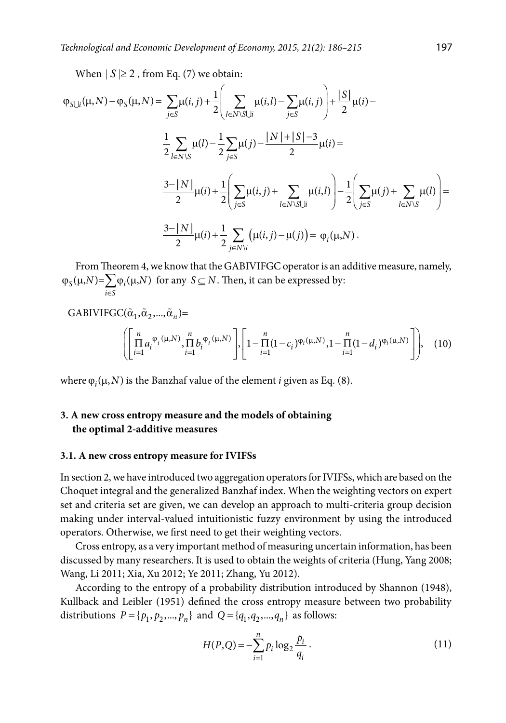When  $|S| \geq 2$ , from Eq. (7) we obtain:

$$
\varphi_{S \cup i}(\mu, N) - \varphi_{S}(\mu, N) = \sum_{j \in S} \mu(i, j) + \frac{1}{2} \left( \sum_{l \in N \setminus S \cup i} \mu(i, l) - \sum_{j \in S} \mu(i, j) \right) + \frac{|S|}{2} \mu(i) - \frac{1}{2} \sum_{l \in N \setminus S} \mu(l) - \frac{1}{2} \sum_{j \in S} \mu(j) - \frac{|N| + |S| - 3}{2} \mu(i) = \frac{3 - |N|}{2} \mu(i) + \frac{1}{2} \left( \sum_{j \in S} \mu(i, j) + \sum_{l \in N \setminus S \cup i} \mu(i, l) \right) - \frac{1}{2} \left( \sum_{j \in S} \mu(j) + \sum_{l \in N \setminus S} \mu(l) \right) = \frac{3 - |N|}{2} \mu(i) + \frac{1}{2} \sum_{j \in N \setminus i} \left( \mu(i, j) - \mu(j) \right) = \varphi_{i}(\mu, N).
$$

From Theorem 4, we know that the GABIVIFGC operator is an additive measure, namely,  $\mathcal{S}_{\mathcal{S}}(\mu, N) = \sum \varphi_i(\mu, N)$ *i S*  $N$ )= $\sum \varphi_i(\mu,N)$  $\varphi_S(\mu, N) = \sum_{i \in S} \varphi_i(\mu, N)$  for any  $S \subseteq N$ . Then, it can be expressed by:

GABIVIFGC(
$$
\tilde{\alpha}_1, \tilde{\alpha}_2, ..., \tilde{\alpha}_n
$$
)=  

$$
\left( \left[ \prod_{i=1}^n a_i^{\varphi_i(\mu, N)}, \prod_{i=1}^n b_i^{\varphi_i(\mu, N)} \right], \left[ 1 - \prod_{i=1}^n (1 - c_i)^{\varphi_i(\mu, N)}, 1 - \prod_{i=1}^n (1 - d_i)^{\varphi_i(\mu, N)} \right] \right),
$$
(10)

where  $\varphi_i(\mu, N)$  is the Banzhaf value of the element *i* given as Eq. (8).

## **3. A new cross entropy measure and the models of obtaining the optimal 2-additive measures**

### **3.1. A new cross entropy measure for IVIFSs**

In section 2, we have introduced two aggregation operators for IVIFSs, which are based on the Choquet integral and the generalized Banzhaf index. When the weighting vectors on expert set and criteria set are given, we can develop an approach to multi-criteria group decision making under interval-valued intuitionistic fuzzy environment by using the introduced operators. Otherwise, we first need to get their weighting vectors.

Cross entropy, as a very important method of measuring uncertain information, has been discussed by many researchers. It is used to obtain the weights of criteria (Hung, Yang 2008; Wang, Li 2011; Xia, Xu 2012; Ye 2011; Zhang, Yu 2012).

According to the entropy of a probability distribution introduced by Shannon (1948), Kullback and Leibler (1951) defined the cross entropy measure between two probability distributions  $P = \{p_1, p_2, ..., p_n\}$  and  $Q = \{q_1, q_2, ..., q_n\}$  as follows:

$$
H(P,Q) = -\sum_{i=1}^{n} p_i \log_2 \frac{p_i}{q_i} \,. \tag{11}
$$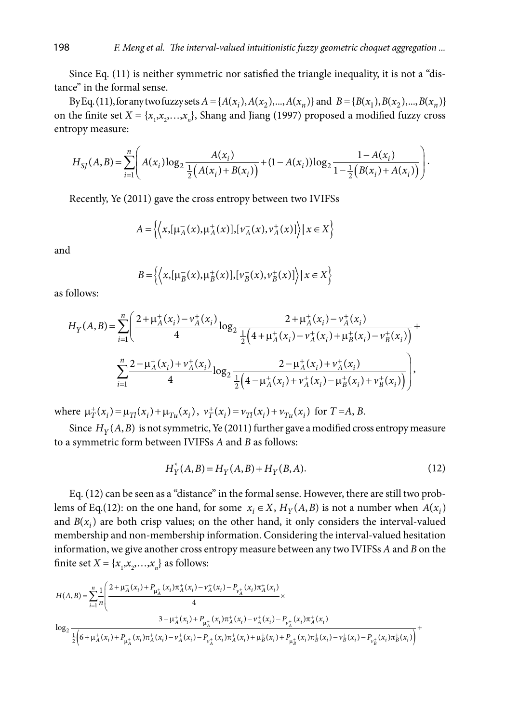Since Eq. (11) is neither symmetric nor satisfied the triangle inequality, it is not a "distance" in the formal sense.

By Eq. (11), for any two fuzzy sets  $A = \{A(x_i), A(x_2),..., A(x_n)\}\$ and  $B = \{B(x_1), B(x_2),..., B(x_n)\}\$ on the finite set  $X = \{x_1, x_2, \ldots, x_n\}$ , Shang and Jiang (1997) proposed a modified fuzzy cross entropy measure:

$$
H_{SI}(A,B) = \sum_{i=1}^{n} \left( A(x_i) \log_2 \frac{A(x_i)}{\frac{1}{2} \left( A(x_i) + B(x_i) \right)} + (1 - A(x_i)) \log_2 \frac{1 - A(x_i)}{1 - \frac{1}{2} \left( B(x_i) + A(x_i) \right)} \right).
$$

Recently, Ye (2011) gave the cross entropy between two IVIFSs

$$
A = \left\{ \left\langle x, \left[ \mu_A^-(x), \mu_A^+(x) \right], \left[ v_A^-(x), v_A^+(x) \right] \right\rangle \middle| \ x \in X \right\}
$$

and

$$
B = \left\{ \left\langle x, \left[ \mu_B^-(x), \mu_B^+(x) \right], \left[ \nu_B^-(x), \nu_B^+(x) \right] \right\rangle \middle| \ x \in X \right\}
$$

as follows:

$$
H_Y(A,B) = \sum_{i=1}^n \left( \frac{2 + \mu_A^+(x_i) - v_A^+(x_i)}{4} \log_2 \frac{2 + \mu_A^+(x_i) - v_A^+(x_i)}{\frac{1}{2} \left( 4 + \mu_A^+(x_i) - v_A^+(x_i) + \mu_B^+(x_i) - v_B^+(x_i) \right)} \right) + \sum_{i=1}^n \frac{2 - \mu_A^+(x_i) + v_A^+(x_i)}{4} \log_2 \frac{2 - \mu_A^+(x_i) + v_A^+(x_i)}{\frac{1}{2} \left( 4 - \mu_A^+(x_i) + v_A^+(x_i) - \mu_B^+(x_i) + v_B^+(x_i) \right)} \right),
$$

where  $\mu^+_{\tau}(x_i) = \mu_{\tau i}(x_i) + \mu_{\tau i}(x_i)$ ,  $\nu^+_{\tau}(x_i) = \nu_{\tau i}(x_i) + \nu_{\tau i}(x_i)$  for  $T = A, B$ .

Since  $H_Y(A, B)$  is not symmetric, Ye (2011) further gave a modified cross entropy measure to a symmetric form between IVIFSs *A* and *B* as follows:

$$
H_Y^*(A, B) = H_Y(A, B) + H_Y(B, A). \tag{12}
$$

Eq. (12) can be seen as a "distance" in the formal sense. However, there are still two problems of Eq.(12): on the one hand, for some  $x_i \in X$ ,  $H_Y(A, B)$  is not a number when  $A(x_i)$ and  $B(x_i)$  are both crisp values; on the other hand, it only considers the interval-valued membership and non-membership information. Considering the interval-valued hesitation information, we give another cross entropy measure between any two IVIFSs *A* and *B* on the finite set  $X = \{x_1, x_2, \ldots, x_n\}$  as follows:

$$
H(A,B) = \sum_{i=1}^{n} \frac{1}{n} \left( \frac{2 + \mu_A^+(x_i) + P_{\mu_A^+}(x_i) \pi_A^+(x_i) - \nu_A^+(x_i) - P_{\nu_A^+}(x_i) \pi_A^+(x_i)}{4} \times \frac{3 + \mu_A^+(x_i) + P_{\mu_A^+}(x_i) \pi_A^+(x_i) - \nu_A^+(x_i) - P_{\nu_A^+}(x_i) \pi_A^+(x_i)}{2 \left( 6 + \mu_A^+(x_i) + P_{\mu_A^+}(x_i) \pi_A^+(x_i) - \nu_A^+(x_i) - P_{\nu_A^+}(x_i) \pi_A^+(x_i) + P_{\mu_B^+}(x_i) \pi_B^+(x_i) + P_{\mu_B^+}(x_i) \pi_B^+(x_i) - P_{\nu_B^+}(x_i) \pi_B^+(x_i) \pi_B^+(x_i) \right)} + \frac{1}{n} \left( \sum_{i=1}^{n} \frac{1}{n} \left( \sum_{i=1}^{n} \frac{1}{n} \sum_{i=1}^{n} \frac{1}{n} \left( \sum_{i=1}^{n} \frac{1}{n} \sum_{i=1}^{n} \frac{1}{n} \pi_A^+(x_i) \pi_A^+(x_i) - \sum_{i=1}^{n} \frac{1}{n} \pi_A^+(x_i) \pi_A^+(x_i) - \sum_{i=1}^{n} \frac{1}{n} \pi_A^+(x_i) \pi_A^+(x_i) \pi_A^+(x_i) \pi_A^+(x_i) \right)}{\pi_A^+(x_i) + \pi_A^+(x_i) \pi_A^+(x_i) - \pi_A^+(x_i) \pi_A^+(x_i) \pi_A^+(x_i) + P_{\mu_A^+}(x_i) \pi_A^+(x_i) \pi_A^-(x_i) \pi_B^+(x_i) \pi_A^+(x_i) \pi_A^+(x_i) \pi_A^+(x_i) \pi_A^+(x_i) \pi_A^+(x_i) \pi_A^+(x_i) \pi_A^+(x_i) \pi_A^+(x_i) \pi_B^+(x_i) \pi_A^+(x_i) \pi_A^+(x_i) \right)} + \frac{1}{n} \left( \sum_{i=1}^{n} \frac{1}{n} \left( \sum_{i=1}^{n} \frac{1}{n} \pi_A^+(x_i) \pi_A^+(x_i) \pi_A^+(x_i) - \sum_{i=1}^{n} \frac{1
$$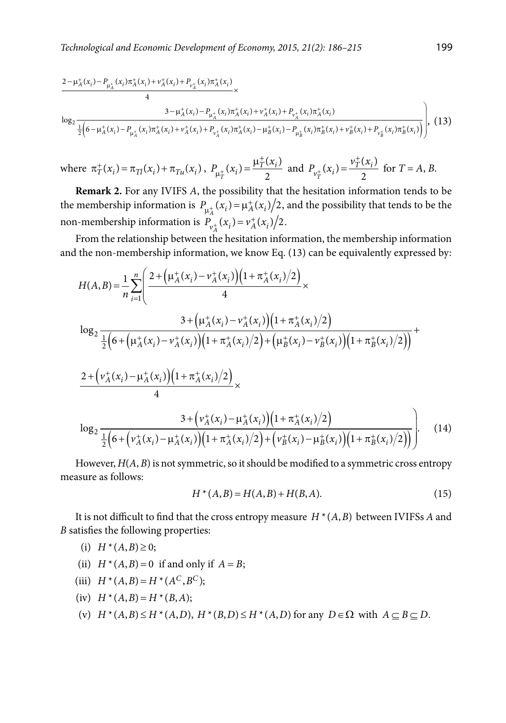$$
\frac{2 - \mu_{A}^{+}(x_{i}) - P_{\mu_{A}^{+}}(x_{i})\pi_{A}^{+}(x_{i}) + \nu_{A}^{+}(x_{i}) + P_{\nu_{A}^{+}}(x_{i})\pi_{A}^{+}(x_{i})}{4} \times \frac{3 - \mu_{A}^{+}(x_{i}) - P_{\mu_{A}^{+}}(x_{i})\pi_{A}^{+}(x_{i}) + \nu_{A}^{+}(x_{i}) + P_{\nu_{A}^{+}}(x_{i})\pi_{A}^{+}(x_{i})}{\frac{1}{2}\left(6 - \mu_{A}^{+}(x_{i}) - P_{\mu_{A}^{+}}(x_{i})\pi_{A}^{+}(x_{i}) + \nu_{A}^{+}(x_{i}) + P_{\nu_{A}^{+}}(x_{i})\pi_{A}^{+}(x_{i}) - \mu_{B}^{+}(x_{i}) - P_{\mu_{B}^{+}}(x_{i})\pi_{B}^{+}(x_{i}) + \nu_{B}^{+}(x_{i}) + P_{\nu_{B}^{+}}(x_{i})\pi_{B}^{+}(x_{i})\right)}\right), (13)
$$

where 
$$
\pi^+_T(x_i) = \pi_{Tl}(x_i) + \pi_{Tu}(x_i)
$$
,  $P_{\mu^+_T}(x_i) = \frac{\mu^+_T(x_i)}{2}$  and  $P_{\nu^+_T}(x_i) = \frac{\nu^+_T(x_i)}{2}$  for  $T = A, B$ .

**Remark 2.** For any IVIFS *A*, the possibility that the hesitation information tends to be the membership information is  $P_{\mu_A^+}(x_i) = \mu_A^+(x_i)/2$ , and the possibility that tends to be the non-membership information is  $P_{v_A^+}(x_i) = v_A^+(x_i)/2$ .

From the relationship between the hesitation information, the membership information and the non-membership information, we know Eq. (13) can be equivalently expressed by:

$$
H(A,B) = \frac{1}{n} \sum_{i=1}^{n} \left( \frac{2 + \left(\mu_{A}^{+}(x_{i}) - \nu_{A}^{+}(x_{i})\right)\left(1 + \pi_{A}^{+}(x_{i})/2\right)}{4} \times \right. \\
\left. \log_{2} \frac{3 + \left(\mu_{A}^{+}(x_{i}) - \nu_{A}^{+}(x_{i})\right)\left(1 + \pi_{A}^{+}(x_{i})/2\right)}{2\left[6 + \left(\mu_{A}^{+}(x_{i}) - \nu_{A}^{+}(x_{i})\right)\left(1 + \pi_{A}^{+}(x_{i})/2\right) + \left(\mu_{B}^{+}(x_{i}) - \nu_{B}^{+}(x_{i})\right)\left(1 + \pi_{B}^{+}(x_{i})/2\right)\right]} \right. \\
\left. \frac{2 + \left(\nu_{A}^{+}(x_{i}) - \mu_{A}^{+}(x_{i})\right)\left(1 + \pi_{A}^{+}(x_{i})/2\right)}{4} \times \frac{3 + \left(\nu_{A}^{+}(x_{i}) - \mu_{A}^{+}(x_{i})\right)\left(1 + \pi_{A}^{+}(x_{i})/2\right)}{2\left[6 + \left(\nu_{A}^{+}(x_{i}) - \mu_{A}^{+}(x_{i})\right)\left(1 + \pi_{A}^{+}(x_{i})/2\right) + \left(\nu_{B}^{+}(x_{i}) - \mu_{B}^{+}(x_{i})\right)\left(1 + \pi_{B}^{+}(x_{i})/2\right)\right)}\right].\n(14)
$$

However, *H*(*A*, *B*) is not symmetric, so it should be modified to a symmetric cross entropy measure as follows:

$$
H^*(A,B) = H(A,B) + H(B,A).
$$
 (15)

It is not difficult to find that the cross entropy measure  $H^*(A, B)$  between IVIFSs *A* and *B* satisfies the following properties:

- (i)  $H^*(A, B) \geq 0$ ;
- (ii)  $H^*(A, B) = 0$  if and only if  $A = B$ ;
- (iii)  $H^*(A, B) = H^*(A^C, B^C);$
- $(iv)$  *H*  $*(A, B) = H*(B, A);$
- (v)  $H^*(A,B) \leq H^*(A,D)$ ,  $H^*(B,D) \leq H^*(A,D)$  for any  $D \in \Omega$  with  $A \subseteq B \subseteq D$ .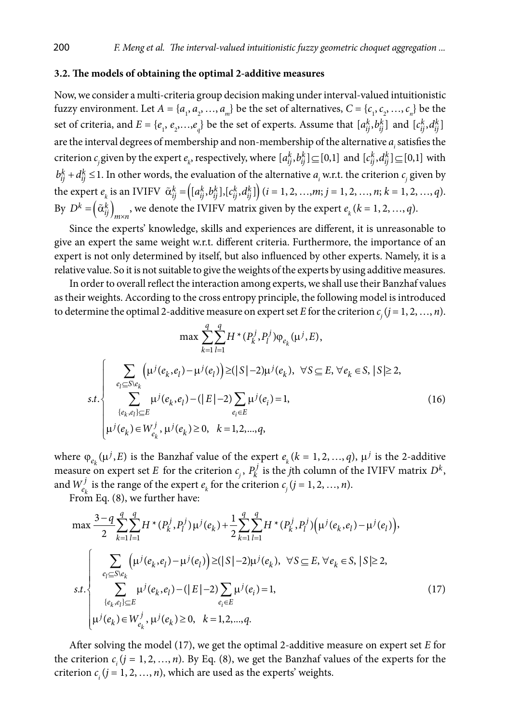### **3.2. The models of obtaining the optimal 2-additive measures**

Now, we consider a multi-criteria group decision making under interval-valued intuitionistic fuzzy environment. Let  $A = \{a_1, a_2, ..., a_m\}$  be the set of alternatives,  $C = \{c_1, c_2, ..., c_n\}$  be the set of criteria, and  $E = \{e_1, e_2, \ldots, e_q\}$  be the set of experts. Assume that  $[a_{ij}^k, b_{ij}^k]$  and  $[c_{ij}^k, d_{ij}^k]$ are the interval degrees of membership and non-membership of the alternative *ai* satisfies the criterion  $c_j$  given by the expert  $e_k$ , respectively, where  $[a_{ij}^k, b_{ij}^k] \subseteq [0,1]$  and  $[c_{ij}^k, d_{ij}^k] \subseteq [0,1]$  with  $b_{ij}^k + d_{ij}^k \le 1$ . In other words, the evaluation of the alternative  $a_i$  w.r.t. the criterion  $c_j$  given by the expert  $e_k$  is an IVIFV  $\tilde{\alpha}_{ij}^k = (\left[a_{ij}^k, b_{ij}^k\right], \left[c_{ij}^k, d_{ij}^k\right] \right) (i = 1, 2, ..., m; j = 1, 2, ..., n; k = 1, 2, ..., q).$ By  $D^k = \left(\tilde{\alpha}_{ij}^k\right)_{m \times n}$ , we denote the IVIFV matrix given by the expert  $e_k$   $(k = 1, 2, ..., q)$ .

Since the experts' knowledge, skills and experiences are different, it is unreasonable to give an expert the same weight w.r.t. different criteria. Furthermore, the importance of an expert is not only determined by itself, but also influenced by other experts. Namely, it is a relative value. So it is not suitable to give the weights of the experts by using additive measures.

In order to overall reflect the interaction among experts, we shall use their Banzhaf values as their weights. According to the cross entropy principle, the following model is introduced to determine the optimal 2-additive measure on expert set  $E$  for the criterion  $c_{_j} (j = 1, 2, ..., n)$ .

$$
\max \sum_{k=1}^{q} \sum_{l=1}^{q} H^{*}(P_{k}^{j}, P_{l}^{j}) \varphi_{e_{k}}(\mu^{j}, E),
$$
  

$$
s.t. \begin{cases} \sum_{e_{l} \subseteq S \setminus e_{k}} (\mu^{j}(e_{k}, e_{l}) - \mu^{j}(e_{l})) \geq (|S| - 2)\mu^{j}(e_{k}), & \forall S \subseteq E, \forall e_{k} \in S, |S| \geq 2, \\ \sum_{\{e_{k}, e_{l}\} \subseteq E} \mu^{j}(e_{k}, e_{l}) - (|E| - 2) \sum_{e_{i} \in E} \mu^{j}(e_{i}) = 1, \\ \mu^{j}(e_{k}) \in W_{e_{k}}^{j}, \mu^{j}(e_{k}) \geq 0, & k = 1, 2, ..., q, \end{cases}
$$
(16)

where  $\varphi_{e_k}(\mu^j, E)$  is the Banzhaf value of the expert  $e_k$  ( $k = 1, 2, ..., q$ ),  $\mu^j$  is the 2-additive measure on expert set *E* for the criterion  $c_j$ ,  $P_k^j$  is the *j*th column of the IVIFV matrix  $D^k$ , and  $W_{e_k}^j$  is the range of the expert  $e_k$  for the criterion  $c_j$  ( $j = 1, 2, ..., n$ ).

From Eq. (8), we further have:

$$
\max \frac{3-q}{2} \sum_{k=1}^{q} \sum_{l=1}^{q} H^*(P_k^j, P_l^j) \mu^j(e_k) + \frac{1}{2} \sum_{k=1}^{q} \sum_{l=1}^{q} H^*(P_k^j, P_l^j) (\mu^j(e_k, e_l) - \mu^j(e_l)),
$$
\n
$$
\sum_{e_l \subseteq S \backslash e_k} (\mu^j(e_k, e_l) - \mu^j(e_l)) \geq (|S|-2)\mu^j(e_k), \ \forall S \subseteq E, \forall e_k \in S, |S| \geq 2,
$$
\n
$$
s.t. \begin{cases} \sum_{e_l \subseteq S \backslash e_k} (\mu^j(e_k, e_l) - (|E|-2) \sum_{e_l \in E} \mu^j(e_i) = 1, \\ \sum_{e_l \in E} (\mu^j(e_k, e_l) \leq 0, \ k = 1, 2, ..., q. \end{cases} (17)
$$

After solving the model (17), we get the optimal 2-additive measure on expert set *E* for the criterion  $c_i$  ( $j = 1, 2, ..., n$ ). By Eq. (8), we get the Banzhaf values of the experts for the criterion  $c_i$  ( $j = 1, 2, ..., n$ ), which are used as the experts' weights.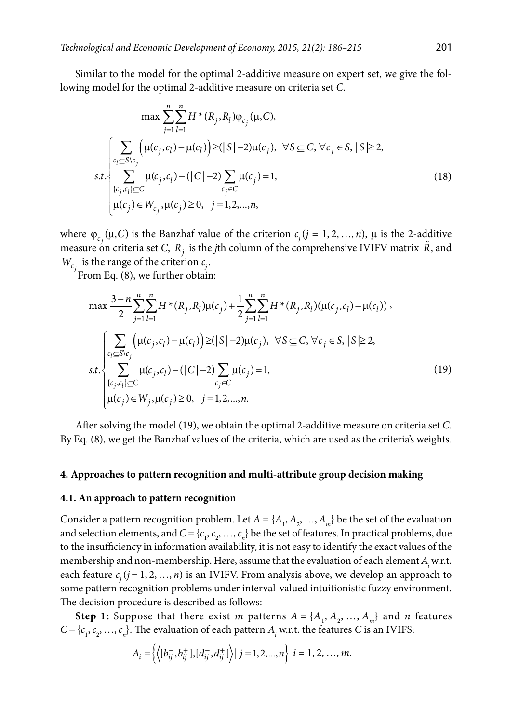Similar to the model for the optimal 2-additive measure on expert set, we give the following model for the optimal 2-additive measure on criteria set *C*.

$$
\max \sum_{j=1}^{n} \sum_{l=1}^{n} H^{*}(R_{j}, R_{l}) \varphi_{c_{j}}(\mu, C),
$$
\n
$$
\sum_{c_{l} \subseteq S \setminus c_{j}} \left( \mu(c_{j}, c_{l}) - \mu(c_{l}) \right) \ge (|S| - 2)\mu(c_{j}), \ \forall S \subseteq C, \forall c_{j} \in S, |S| \ge 2,
$$
\n
$$
s.t. \begin{cases} \sum_{c_{i} \subseteq S \setminus c_{j}} \mu(c_{j}, c_{l}) - (|C| - 2) \sum_{c_{j} \in C} \mu(c_{j}) = 1, \\ \mu(c_{j}) \in W_{c_{j}}, \mu(c_{j}) \ge 0, \ j = 1, 2, ..., n, \end{cases} (18)
$$

where  $\varphi_{c_j}(\mu, C)$  is the Banzhaf value of the criterion  $c_j$   $(j = 1, 2, ..., n)$ ,  $\mu$  is the 2-additive measure on criteria set *C*,  $R_i$  is the *j*th column of the comprehensive IVIFV matrix  $\tilde{R}$ , and  $W_{c_j}$  is the range of the criterion  $c_j$ .

From Eq. (8), we further obtain:

$$
\max \frac{3-n}{2} \sum_{j=1}^{n} \sum_{l=1}^{n} H^*(R_j, R_l) \mu(c_j) + \frac{1}{2} \sum_{j=1}^{n} \sum_{l=1}^{n} H^*(R_j, R_l) (\mu(c_j, c_l) - \mu(c_l)),
$$
  

$$
\sum_{c_l \subseteq S \setminus c_j} (\mu(c_j, c_l) - \mu(c_l)) \ge (|S|-2)\mu(c_j), \ \forall S \subseteq C, \forall c_j \in S, |S| \ge 2,
$$
  
s.t. 
$$
\sum_{\{c_j, c_l\} \subseteq C} \mu(c_j, c_l) - (|C|-2) \sum_{c_j \in C} \mu(c_j) = 1,
$$
  

$$
\mu(c_j) \in W_j, \mu(c_j) \ge 0, \ j = 1, 2, ..., n.
$$
  
(19)

After solving the model (19), we obtain the optimal 2-additive measure on criteria set *C*. By Eq. (8), we get the Banzhaf values of the criteria, which are used as the criteria's weights.

### **4. Approaches to pattern recognition and multi-attribute group decision making**

#### **4.1. An approach to pattern recognition**

Consider a pattern recognition problem. Let  $A = \{A_1, A_2, ..., A_m\}$  be the set of the evaluation and selection elements, and  $C = \{c_1, c_2, ..., c_n\}$  be the set of features. In practical problems, due to the insufficiency in information availability, it is not easy to identify the exact values of the membership and non-membership. Here, assume that the evaluation of each element  $A_i$  w.r.t. each feature *cj* (*j* = 1, 2, …, *n*) is an IVIFV. From analysis above, we develop an approach to some pattern recognition problems under interval-valued intuitionistic fuzzy environment. The decision procedure is described as follows:

**Step 1:** Suppose that there exist *m* patterns  $A = \{A_1, A_2, ..., A_m\}$  and *n* features  $C = \{c_1, c_2, \ldots, c_n\}$ . The evaluation of each pattern  $A_i$  w.r.t. the features *C* is an IVIFS:

$$
A_i = \left\{ \left\langle [b_{ij}^-, b_{ij}^+] , [d_{ij}^-, d_{ij}^+] \right\rangle | j = 1, 2, ..., n \right\} \ i = 1, 2, ..., m.
$$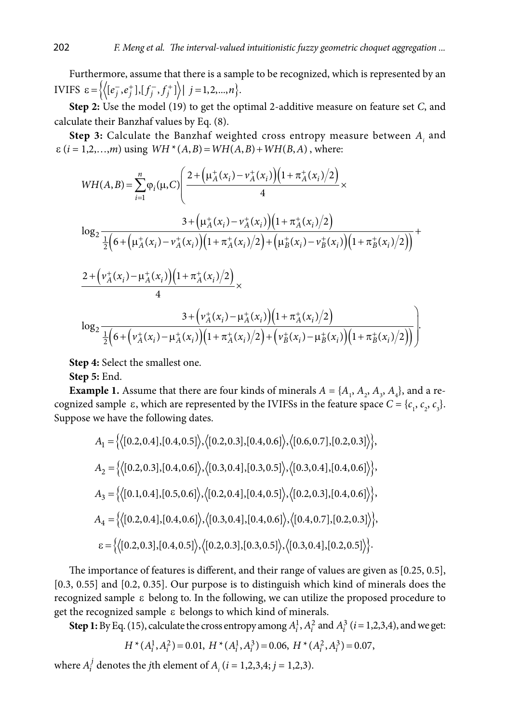Furthermore, assume that there is a sample to be recognized, which is represented by an **IVIFS**  $\varepsilon = \left\{ \left\langle [e_j^-, e_j^+] , [f_j^-, f_j^+] \right\rangle | j = 1, 2, ..., n \right\}.$ 

**Step 2:** Use the model (19) to get the optimal 2-additive measure on feature set *C*, and calculate their Banzhaf values by Eq. (8).

**Step 3:** Calculate the Banzhaf weighted cross entropy measure between *Ai* and  $\varepsilon$  (*i* = 1,2,...,*m*) using  $WH*(A, B) = WH(A, B) + WH(B, A)$ , where:

$$
WH(A,B) = \sum_{i=1}^{n} \varphi_{i}(\mu, C) \left( \frac{2 + \left(\mu_{A}^{+}(x_{i}) - \nu_{A}^{+}(x_{i})\right)\left(1 + \pi_{A}^{+}(x_{i})/2\right)}{4} \times \frac{3 + \left(\mu_{A}^{+}(x_{i}) - \nu_{A}^{+}(x_{i})\right)\left(1 + \pi_{A}^{+}(x_{i})/2\right)}{4} \times \frac{3 + \left(\mu_{A}^{+}(x_{i}) - \nu_{A}^{+}(x_{i})\right)\left(1 + \pi_{A}^{+}(x_{i})/2\right)}{4} + \frac{2 + \left(\nu_{A}^{+}(x_{i}) - \mu_{A}^{+}(x_{i})\right)\left(1 + \pi_{A}^{+}(x_{i})/2\right)}{4} \times \frac{3 + \left(\nu_{A}^{+}(x_{i}) - \mu_{A}^{+}(x_{i})/2\right)}{4} \times \frac{3 + \left(\nu_{A}^{+}(x_{i}) - \mu_{A}^{+}(x_{i})\right)\left(1 + \pi_{A}^{+}(x_{i})/2\right)}{4} \times \frac{3 + \left(\nu_{A}^{+}(x_{i}) - \mu_{A}^{+}(x_{i})\right)\left(1 + \pi_{A}^{+}(x_{i})/2\right)}{4} + \frac{3 + \left(\nu_{A}^{+}(x_{i}) - \mu_{A}^{+}(x_{i})\right)\left(1 + \pi_{A}^{+}(x_{i})/2\right)}{4} \times \frac{3 + \left(\nu_{A}^{+}(x_{i}) - \mu_{A}^{+}(x_{i})/2\right)\left(1 + \pi_{A}^{+}(x_{i})/2\right)}{4} \times \frac{3 + \left(\nu_{A}^{+}(x_{i}) - \mu_{A}^{+}(x_{i})/2\right)\left(1 + \pi_{A}^{+}(x_{i})/2\right)}{4} \times \frac{3 + \left(\nu_{A}^{+}(x_{i}) - \mu_{A}^{+}(x_{i})/2\right)\left(1 + \pi_{A}^{+}(x_{i})/2\right)}{4} \times \frac{3 + \left(\nu_{A}^{+}(x_{i}) - \mu_{A}^{+}(x_{i})/2\right)\left(1 + \pi_{A}^{+}(x_{i})/2\right)}{4} \times \frac{3 + \left(\nu_{A
$$

**Step 4:** Select the smallest one.

**Step 5:** End.

**Example 1.** Assume that there are four kinds of minerals  $A = \{A_1, A_2, A_3, A_4\}$ , and a recognized sample  $\varepsilon$ , which are represented by the IVIFSs in the feature space  $C = \{c_1, c_2, c_3\}$ . Suppose we have the following dates.

$$
A_1 = \{ \langle [0.2, 0.4], [0.4, 0.5] \rangle, \langle [0.2, 0.3], [0.4, 0.6] \rangle, \langle [0.6, 0.7], [0.2, 0.3] \rangle \},
$$
  
\n
$$
A_2 = \{ \langle [0.2, 0.3], [0.4, 0.6] \rangle, \langle [0.3, 0.4], [0.3, 0.5] \rangle, \langle [0.3, 0.4], [0.4, 0.6] \rangle \},
$$
  
\n
$$
A_3 = \{ \langle [0.1, 0.4], [0.5, 0.6] \rangle, \langle [0.2, 0.4], [0.4, 0.5] \rangle, \langle [0.2, 0.3], [0.4, 0.6] \rangle \},
$$
  
\n
$$
A_4 = \{ \langle [0.2, 0.4], [0.4, 0.6] \rangle, \langle [0.3, 0.4], [0.4, 0.6] \rangle, \langle [0.4, 0.7], [0.2, 0.3] \rangle \},
$$
  
\n
$$
\epsilon = \{ \langle [0.2, 0.3], [0.4, 0.5] \rangle, \langle [0.2, 0.3], [0.3, 0.5] \rangle, \langle [0.3, 0.4], [0.2, 0.5] \rangle \}.
$$

The importance of features is different, and their range of values are given as [0.25, 0.5], [0.3, 0.55] and [0.2, 0.35]. Our purpose is to distinguish which kind of minerals does the recognized sample ε belong to. In the following, we can utilize the proposed procedure to get the recognized sample ε belongs to which kind of minerals.

**Step 1:** By Eq. (15), calculate the cross entropy among  $A_i^1$ ,  $A_i^2$  and  $A_i^3$  ( $i = 1,2,3,4$ ), and we get:

$$
H^*(A_i^1, A_i^2) = 0.01, H^*(A_i^1, A_i^3) = 0.06, H^*(A_i^2, A_i^3) = 0.07,
$$

where  $A_i^j$  denotes the *j*th element of  $A_i$  (*i* = 1,2,3,4; *j* = 1,2,3).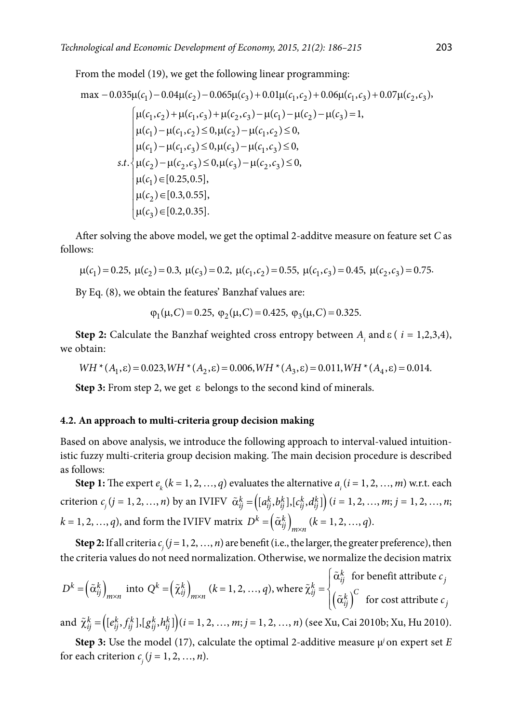From the model (19), we get the following linear programming:

max -0.035
$$
\mu(c_1)
$$
 -0.04 $\mu(c_2)$  -0.065 $\mu(c_3)$  + 0.01 $\mu(c_1, c_2)$  + 0.06 $\mu(c_1, c_3)$  + 0.07 $\mu(c_2, c_3)$ ,  
\n
$$
\mu(c_1, c_2)
$$
 +  $\mu(c_1, c_3)$  +  $\mu(c_2, c_3)$  -  $\mu(c_1)$  -  $\mu(c_2)$  -  $\mu(c_3)$  = 1,  
\n
$$
\mu(c_1)
$$
 -  $\mu(c_1, c_2)$   $\le$  0,  $\mu(c_2)$  -  $\mu(c_1, c_2)$   $\le$  0,  
\n
$$
\mu(c_1)
$$
 -  $\mu(c_1, c_3)$   $\le$  0,  $\mu(c_3)$  -  $\mu(c_1, c_3)$   $\le$  0,  
\n
$$
\mu(c_2)
$$
 -  $\mu(c_2, c_3)$   $\le$  0,  $\mu(c_3)$  -  $\mu(c_2, c_3)$   $\le$  0,  
\n
$$
\mu(c_1)
$$
  $\in$  [0.25, 0.5],  
\n
$$
\mu(c_2)
$$
  $\in$  [0.3, 0.55],  
\n
$$
\mu(c_3)
$$
  $\in$  [0.2, 0.35].

After solving the above model, we get the optimal 2-additve measure on feature set *C* as follows:

$$
\mu(c_1) = 0.25
$$
,  $\mu(c_2) = 0.3$ ,  $\mu(c_3) = 0.2$ ,  $\mu(c_1, c_2) = 0.55$ ,  $\mu(c_1, c_3) = 0.45$ ,  $\mu(c_2, c_3) = 0.75$ .

By Eq. (8), we obtain the features' Banzhaf values are:

$$
\varphi_1(\mu, C) = 0.25
$$
,  $\varphi_2(\mu, C) = 0.425$ ,  $\varphi_3(\mu, C) = 0.325$ .

**Step 2:** Calculate the Banzhaf weighted cross entropy between *Ai* and ε ( *i* = 1,2,3,4), we obtain:

 $WH * (A_1, \varepsilon) = 0.023, WH * (A_2, \varepsilon) = 0.006, WH * (A_3, \varepsilon) = 0.011, WH * (A_4, \varepsilon) = 0.014.$ 

**Step 3:** From step 2, we get ε belongs to the second kind of minerals.

### **4.2. An approach to multi-criteria group decision making**

Based on above analysis, we introduce the following approach to interval-valued intuitionistic fuzzy multi-criteria group decision making. The main decision procedure is described as follows:

**Step 1:** The expert  $e_k$  ( $k = 1, 2, ..., q$ ) evaluates the alternative  $a_i$  ( $i = 1, 2, ..., m$ ) w.r.t. each criterion  $c_j$  ( $j = 1, 2, ..., n$ ) by an IVIFV  $\tilde{\alpha}_{ij}^k = \left( [a_{ij}^k, b_{ij}^k], [c_{ij}^k, d_{ij}^k] \right) (i = 1, 2, ..., m; j = 1, 2, ..., n;$  $k = 1, 2, ..., q$ ), and form the IVIFV matrix  $D^k = (\tilde{\alpha}_{ij}^k)_{m \times n}$   $(k = 1, 2, ..., q)$ .

**Step 2:** If all criteria  $c_j$  ( $j = 1, 2, ..., n$ ) are benefit (i.e., the larger, the greater preference), then the criteria values do not need normalization. Otherwise, we normalize the decision matrix

$$
D^{k} = \left(\tilde{\alpha}_{ij}^{k}\right)_{m \times n} \text{ into } Q^{k} = \left(\tilde{\chi}_{ij}^{k}\right)_{m \times n} (k = 1, 2, ..., q), \text{ where } \tilde{\chi}_{ij}^{k} = \begin{cases} \tilde{\alpha}_{ij}^{k} \text{ for benefit attribute } c_{j} \\ \left(\tilde{\alpha}_{ij}^{k}\right)^{C} \text{ for cost attribute } c_{j} \end{cases}
$$

and  $\tilde{\chi}_{ij}^k = \left( [e_{ij}^k, f_{ij}^k], [g_{ij}^k, h_{ij}^k] \right) (i = 1, 2, ..., m; j = 1, 2, ..., n)$  (see Xu, Cai 2010b; Xu, Hu 2010).

**Step 3:** Use the model (17), calculate the optimal 2-additive measure  $\mu$ <sup>*j*</sup> on expert set *E* for each criterion  $c_j$  ( $j = 1, 2, ..., n$ ).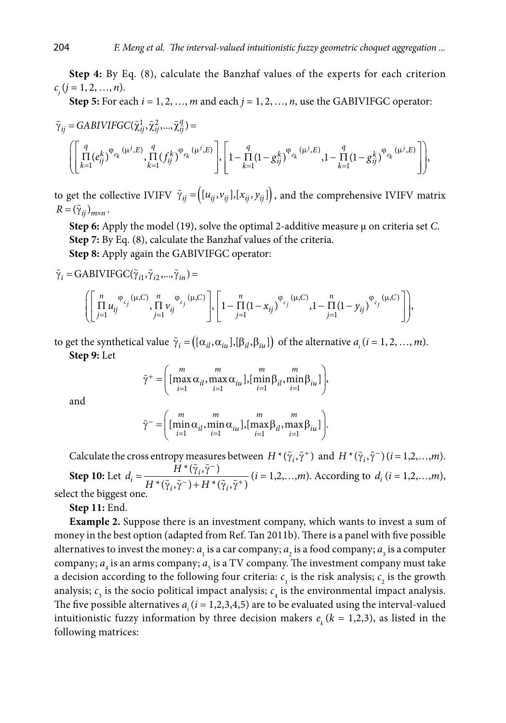**Step 4:** By Eq. (8), calculate the Banzhaf values of the experts for each criterion  $c_j$  (*j* = 1, 2, ..., *n*).

**Step 5:** For each  $i = 1, 2, ..., m$  and each  $j = 1, 2, ..., n$ , use the GABIVIFGC operator:

$$
\begin{aligned} \tilde{\gamma}_{ij}=&\,\text{GABIVIFGC}(\tilde{\chi}_{ij}^1,\tilde{\chi}_{ij}^2,...,\tilde{\chi}_{ij}^q)= \\ &\Bigg(\Bigg[\prod_{k=1}^q(e_{ij}^k)^{\varphi_{e_k}(\mu^j,E)},\prod_{k=1}^q(f_{ij}^k)^{\varphi_{e_k}(\mu^j,E)}\Bigg],\Bigg[\Big(1-\frac{q}{\Pi}\big(1-g_{ij}^k\big)^{\varphi_{e_k}(\mu^j,E)},1-\frac{q}{\Pi}\big(1-g_{ij}^k\big)^{\varphi_{e_k}(\mu^j,E)}\Bigg]\Bigg), \end{aligned}
$$

to get the collective IVIFV  $\tilde{\gamma}_{ij} = ((u_{ij}, v_{ij}], [x_{ij}, y_{ij}])$ , and the comprehensive IVIFV matrix  $R = (\tilde{\gamma}_{ij})_{m \times n}$ .

**Step 6:** Apply the model (19), solve the optimal 2-additive measure µ on criteria set *C*. **Step 7:** By Eq. (8), calculate the Banzhaf values of the criteria. **Step 8:** Apply again the GABIVIFGC operator:

$$
\tilde{\gamma}_i = \text{GABIVIFGC}(\tilde{\gamma}_{i1}, \tilde{\gamma}_{i2}, ..., \tilde{\gamma}_{in}) =
$$

$$
\left( \left[ \prod_{j=1}^{n} u_{ij}^{\varphi_{c_j}(\mu,C)}, \prod_{j=1}^{n} v_{ij}^{\varphi_{c_j}(\mu,C)} \right], \left[ 1 - \prod_{j=1}^{n} (1 - x_{ij})^{\varphi_{c_j}(\mu,C)}, 1 - \prod_{j=1}^{n} (1 - y_{ij})^{\varphi_{c_j}(\mu,C)} \right] \right),
$$

to get the synthetical value  $\tilde{\gamma}_i = ((\alpha_{il}, \alpha_{iu}], [\beta_{il}, \beta_{iu}])$  of the alternative  $a_i$  (*i* = 1, 2, …, *m*). **Step 9:** Let

$$
\widetilde{\gamma}^+ = \left( \max_{i=1}^m \alpha_{il}, \max_{i=1}^m \alpha_{iu} \right), \left[ \min_{i=1}^m \beta_{il}, \min_{i=1}^m \beta_{iu} \right],
$$

and

$$
\tilde{\gamma}^- = \left( \begin{bmatrix} m & m & m \\ \min \alpha_{il}, \min \alpha_{iu} \end{bmatrix}, \begin{bmatrix} m & m \\ \max \beta_{il}, \max \beta_{iu} \end{bmatrix} \right).
$$

Calculate the cross entropy measures between  $H^*(\tilde{\gamma}_i, \tilde{\gamma}^+)$  and  $H^*(\tilde{\gamma}_i, \tilde{\gamma}^-)(i = 1, 2, ..., m)$ . **Step 10:** Let  $d_i = \frac{H^*(\tilde{\gamma}_i, \tilde{\gamma}^-)}{H^*(\tilde{\gamma}_i, \tilde{\gamma}^-)}$  ${}^{\ast}(\tilde{\gamma}_i, \tilde{\gamma}^-)$  +  $H$   ${}^{\ast}(\tilde{\gamma}_i, \tilde{\gamma}^+)$  $\tilde{a}_i = \frac{H(x_i - \tilde{a}_i - \tilde{b}_i)}{H(x_i - \tilde{a}_i - \tilde{b}_i)}$  $\sum_{i}$  *i*  $\sum$   $\sum$  *i*  $\sum$  *i*  $\sum$  $d_i = \frac{H}{\sqrt{H_i^2 + \left(\frac{H_i}{H_i}\right)^2}}$  $H^*(\tilde{\gamma}_i, \tilde{\gamma}^-) + H$ −  $=\frac{H^*(\tilde{\gamma}_i, \tilde{\gamma}^-)}{H^*(\tilde{\gamma}_i, \tilde{\gamma}^-) + H^*(\tilde{\gamma}_i, \tilde{\gamma}^+)}$  (*i* = 1,2,...,*m*). According to *d<sub>i</sub>* (*i* = 1,2,...,*m*), select the biggest one.

**Step 11:** End.

**Example 2.** Suppose there is an investment company, which wants to invest a sum of money in the best option (adapted from Ref. Tan 2011b). There is a panel with five possible alternatives to invest the money:  $a_1$  is a car company;  $a_2$  is a food company;  $a_3$  is a computer company;  $a_4$  is an arms company;  $a_5$  is a TV company. The investment company must take a decision according to the following four criteria:  $c_{1}$  is the risk analysis;  $c_{2}$  is the growth analysis;  $c_3$  is the socio political impact analysis;  $c_4$  is the environmental impact analysis. The five possible alternatives  $a_i$  ( $i = 1,2,3,4,5$ ) are to be evaluated using the interval-valued intuitionistic fuzzy information by three decision makers  $e_k$  ( $k = 1,2,3$ ), as listed in the following matrices: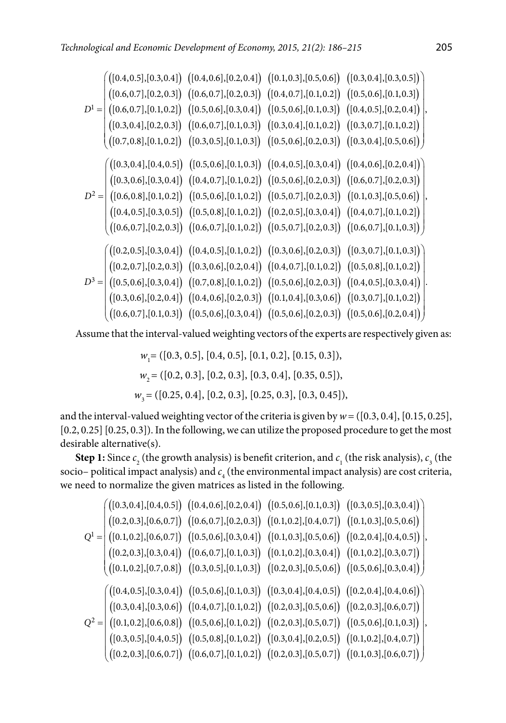$$
D^{1} = \begin{pmatrix} ([0.4, 0.5], [0.3, 0.4]) & ([0.4, 0.6], [0.2, 0.4]) & ([0.4, 0.7], [0.1, 0.2]) & ([0.5, 0.6], [0.1, 0.3]) \\ ([0.6, 0.7], [0.1, 0.2]) & ([0.6, 0.7], [0.2, 0.3]) & ([0.6, 0.7], [0.1, 0.2]) & ([0.6, 0.6], [0.1, 0.3]) \\ ([0.7, 0.8], [0.1, 0.2]) & ([0.6, 0.7], [0.1, 0.3]) & ([0.5, 0.6], [0.1, 0.3]) & ([0.4, 0.5], [0.2, 0.4]) \\ ([0.7, 0.8], [0.1, 0.2]) & ([0.6, 0.7], [0.1, 0.3]) & ([0.5, 0.4], [0.1, 0.2]) & ([0.3, 0.4], [0.5, 0.6]) \\ ([0.7, 0.8], [0.1, 0.2]) & ([0.3, 0.5], [0.1, 0.3]) & ([0.5, 0.6], [0.2, 0.3]) & ([0.4, 0.6], [0.2, 0.4]) \\ ([0.8, 0.6], [0.3, 0.4]) & ([0.4, 0.7], [0.1, 0.2]) & ([0.5, 0.6], [0.2, 0.3]) & ([0.4, 0.6], [0.2, 0.3]) \\ ([0.6, 0.8], [0.1, 0.2]) & ([0.5, 0.6], [0.1, 0.2]) & ([0.5, 0.6], [0.2, 0.3]) & ([0.6, 0.7], [0.2, 0.3]) \\ ([0.4, 0.5], [0.3, 0.5]) & ([0.5, 0.8], [0.1, 0.2]) & ([0.5, 0.7], [0.2, 0.3]) & ([0.4, 0.7], [0.1, 0.2]) \\ ([0.6, 0.7], [0.2, 0.3]) & ([0.6, 0.7], [0.1, 0.2]) & ([0.5, 0.6], [0.2, 0.3]) & ([0.6, 0.7], [0.
$$

Assume that the interval-valued weighting vectors of the experts are respectively given as:

*w*<sub>1</sub> = ([0.3, 0.5], [0.4, 0.5], [0.1, 0.2], [0.15, 0.3]), *w*<sub>2</sub> = ([0.2, 0.3], [0.2, 0.3], [0.3, 0.4], [0.35, 0.5]), *w*<sub>3</sub> = ([0.25, 0.4], [0.2, 0.3], [0.25, 0.3], [0.3, 0.45]),

and the interval-valued weighting vector of the criteria is given by  $w = ([0.3, 0.4], [0.15, 0.25],$ [0.2, 0.25] [0.25, 0.3]). In the following, we can utilize the proposed procedure to get the most desirable alternative(s).

**Step 1:** Since  $c_2$  (the growth analysis) is benefit criterion, and  $c_1$  (the risk analysis),  $c_3$  (the socio– political impact analysis) and  $c_4$  (the environmental impact analysis) are cost criteria, we need to normalize the given matrices as listed in the following.

$$
Q^{1} = \begin{pmatrix} ([0.3, 0.4], [0.4, 0.5]) ([0.4, 0.6], [0.2, 0.4]) ([0.5, 0.6], [0.1, 0.3]) ([0.3, 0.5], [0.3, 0.4])
$$
  
\n
$$
Q^{1} = \begin{pmatrix} ([0.1, 0.2], [0.6, 0.7]) ([0.6, 0.7], [0.2, 0.3]) ([0.1, 0.2], [0.4, 0.7]) ([0.1, 0.3], [0.5, 0.6])
$$
  
\n
$$
([0.2, 0.3], [0.3, 0.4]) ([0.6, 0.7], [0.1, 0.3]) ([0.1, 0.3], [0.5, 0.6]) ([0.2, 0.4], [0.4, 0.5])
$$
  
\n
$$
([0.2, 0.3], [0.3, 0.4]) ([0.6, 0.7], [0.1, 0.3]) ([0.1, 0.2], [0.3, 0.4]) ([0.1, 0.2], [0.3, 0.7])
$$
  
\n
$$
([0.1, 0.2], [0.7, 0.8]) ([0.3, 0.5], [0.1, 0.3]) ([0.2, 0.3], [0.5, 0.6]) ([0.2, 0.4], [0.4, 0.6])
$$
  
\n
$$
Q^{2} = \begin{pmatrix} ([0.4, 0.5], [0.3, 0.4]) ([0.5, 0.6], [0.1, 0.3]) ([0.2, 0.3], [0.5, 0.6]) ([0.2, 0.4], [0.4, 0.6])
$$
  
\n
$$
([0.3, 0.4], [0.3, 0.6]) ([0.4, 0.7], [0.1, 0.2]) ([0.2, 0.3], [0.5, 0.6]) ([0.2, 0.3], [0.6, 0.7])
$$
  
\n
$$
([0.3, 0.5], [0.4, 0.5]) ([0.5, 0.8], [0.1, 0.2]) ([0.3, 0.4], [0.2, 0.5]) ([0.1, 0.2], [0.4, 0.7])
$$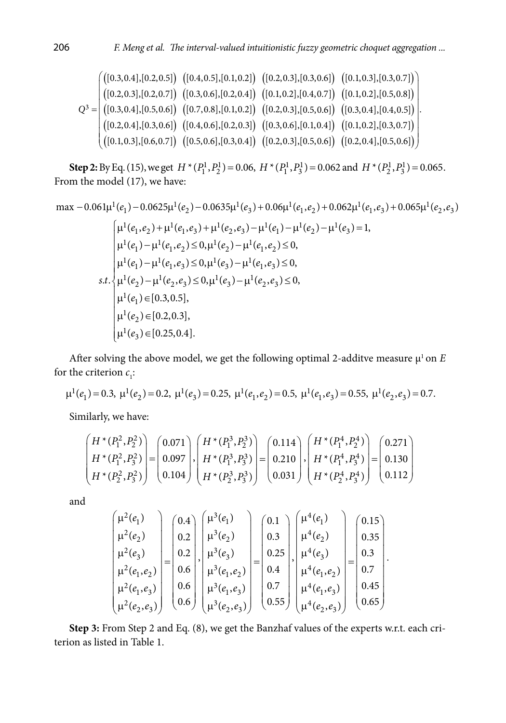.

$$
Q^3 = \begin{pmatrix} \begin{pmatrix} [0.3, 0.4], [0.2, 0.5] \end{pmatrix} & \begin{pmatrix} [0.4, 0.5], [0.1, 0.2] \end{pmatrix} & \begin{pmatrix} [0.2, 0.3], [0.3, 0.6] \end{pmatrix} & \begin{pmatrix} [0.1, 0.3], [0.3, 0.7] \end{pmatrix} \\ \begin{pmatrix} [0.2, 0.3], [0.2, 0.7] \end{pmatrix} & \begin{pmatrix} [0.3, 0.6], [0.2, 0.4] \end{pmatrix} & \begin{pmatrix} [0.1, 0.2], [0.4, 0.7] \end{pmatrix} & \begin{pmatrix} [0.1, 0.2], [0.5, 0.8] \end{pmatrix} \\ \begin{pmatrix} [0.3, 0.4], [0.5, 0.6] \end{pmatrix} & \begin{pmatrix} [0.7, 0.8], [0.1, 0.2] \end{pmatrix} & \begin{pmatrix} [0.2, 0.3], [0.5, 0.6] \end{pmatrix} & \begin{pmatrix} [0.3, 0.4], [0.4, 0.5] \end{pmatrix} \\ \begin{pmatrix} [0.2, 0.4], [0.3, 0.6] \end{pmatrix} & \begin{pmatrix} [0.4, 0.6], [0.2, 0.3] \end{pmatrix} & \begin{pmatrix} [0.3, 0.6], [0.1, 0.4] \end{pmatrix} & \begin{pmatrix} [0.1, 0.2], [0.3, 0.7] \end{pmatrix} \\ \begin{pmatrix} [0.1, 0.3], [0.5, 0.6] \end{pmatrix} & \begin{pmatrix} [0.5, 0.6], [0.3, 0.4] \end{pmatrix} & \begin{pmatrix} [0.2, 0.3], [0.5, 0.6] \end{pmatrix} & \begin{pmatrix} [0.2, 0.4], [0.5, 0.6] \end{pmatrix} \end{pmatrix}
$$

**Step 2:** By Eq. (15), we get  $H^*(P_1^1, P_2^1) = 0.06$ ,  $H^*(P_1^1, P_3^1) = 0.062$  and  $H^*(P_2^1, P_3^1) = 0.065$ . From the model (17), we have:

max 
$$
-0.061\mu^1(e_1) - 0.0625\mu^1(e_2) - 0.0635\mu^1(e_3) + 0.06\mu^1(e_1, e_2) + 0.062\mu^1(e_1, e_3) + 0.065\mu^1(e_2, e_3)
$$
  
\n
$$
\mu^1(e_1, e_2) + \mu^1(e_1, e_3) + \mu^1(e_2, e_3) - \mu^1(e_1) - \mu^1(e_2) - \mu^1(e_3) = 1,
$$
\n
$$
\mu^1(e_1) - \mu^1(e_1, e_2) \le 0, \mu^1(e_2) - \mu^1(e_1, e_2) \le 0,
$$
\n
$$
\mu^1(e_1) - \mu^1(e_1, e_3) \le 0, \mu^1(e_3) - \mu^1(e_1, e_3) \le 0,
$$
\n
$$
s.t. \begin{cases}\n\mu^1(e_2) - \mu^1(e_2, e_3) \le 0, \mu^1(e_3) - \mu^1(e_2, e_3) \le 0, \\
\mu^1(e_1) = [0.3, 0.5], \\
\mu^1(e_2) = [0.2, 0.3], \\
\mu^1(e_3) = [0.25, 0.4].\n\end{cases}
$$

After solving the above model, we get the following optimal 2-additve measure  $\mu^1$  on *E* for the criterion  $c_i$ :

$$
\mu^1(e_1) = 0.3, \ \mu^1(e_2) = 0.2, \ \mu^1(e_3) = 0.25, \ \mu^1(e_1, e_2) = 0.5, \ \mu^1(e_1, e_3) = 0.55, \ \mu^1(e_2, e_3) = 0.7.
$$

Similarly, we have:

$$
\begin{pmatrix} H^*(P_1^2, P_2^2) \\ H^*(P_1^2, P_3^2) \\ H^*(P_2^2, P_3^2) \end{pmatrix} = \begin{pmatrix} 0.071 \\ 0.097 \\ 0.104 \end{pmatrix}, \begin{pmatrix} H^*(P_1^3, P_2^3) \\ H^*(P_1^3, P_3^3) \\ H^*(P_2^3, P_3^3) \end{pmatrix} = \begin{pmatrix} 0.114 \\ 0.210 \\ 0.031 \end{pmatrix}, \begin{pmatrix} H^*(P_1^4, P_2^4) \\ H^*(P_1^4, P_3^4) \\ H^*(P_2^4, P_3^4) \end{pmatrix} = \begin{pmatrix} 0.271 \\ 0.130 \\ 0.112 \end{pmatrix}
$$

and

$$
\begin{pmatrix} \mu^2(e_1) \\ \mu^2(e_2) \\ \mu^2(e_3) \\ \mu^2(e_1, e_2) \\ \mu^2(e_1, e_3) \\ \mu^2(e_2, e_3) \end{pmatrix} = \begin{pmatrix} 0.4 \\ 0.2 \\ 0.6 \\ 0.6 \\ 0.6 \end{pmatrix}, \begin{pmatrix} \mu^3(e_1) \\ \mu^3(e_2) \\ \mu^3(e_3) \\ \mu^3(e_1, e_2) \\ \mu^3(e_1, e_3) \\ \mu^3(e_1, e_3) \\ \mu^3(e_2, e_3) \end{pmatrix} = \begin{pmatrix} 0.1 \\ 0.3 \\ 0.25 \\ 0.4 \\ 0.7 \\ 0.7 \\ \mu^4(e_1, e_2) \\ \mu^4(e_1, e_3) \\ \mu^4(e_2, e_3) \end{pmatrix} = \begin{pmatrix} 0.15 \\ 0.35 \\ 0.3 \\ 0.7 \\ \mu^4(e_1, e_2) \\ 0.65 \\ \mu^4(e_2, e_3) \end{pmatrix}.
$$

**Step 3:** From Step 2 and Eq. (8), we get the Banzhaf values of the experts w.r.t. each criterion as listed in Table 1.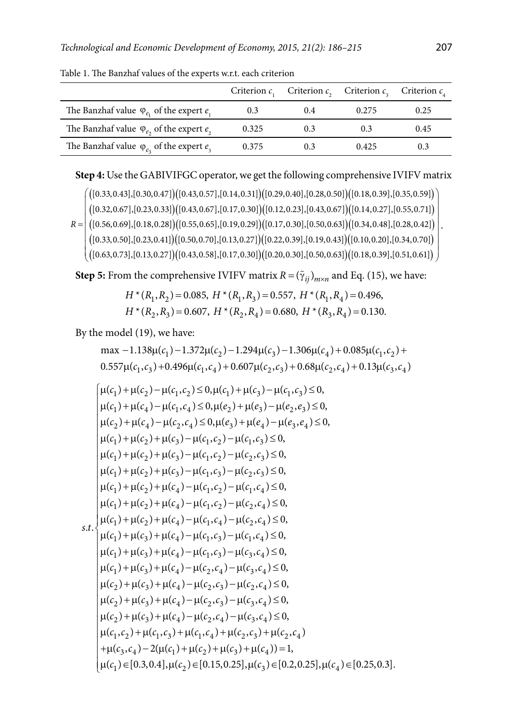|                                                       | Criterion $c$ . |     | Criterion $c_n$ Criterion $c_n$ Criterion $c_n$ |      |
|-------------------------------------------------------|-----------------|-----|-------------------------------------------------|------|
| The Banzhaf value $\varphi_{e_1}$ of the expert $e_1$ | 0.3             | 0.4 | 0.275                                           | 0.25 |
| The Banzhaf value $\varphi_{e_2}$ of the expert $e_2$ | 0.325           | 0.3 | 0.3                                             | 0.45 |
| The Banzhaf value $\varphi_{e_3}$ of the expert $e_3$ | 0.375           | 0.3 | 0.425                                           | 0.3  |

Table 1. The Banzhaf values of the experts w.r.t. each criterion

### **Step 4:** Use the GABIVIFGC operator, we get the following comprehensive IVIFV matrix

 $\left( \frac{([0.33,0.43],[0.30,0.47])([0.43,0.57],[0.14,0.31])([0.29,0.40],[0.28,0.50])([0.18,0.39],[0.35,0.59])}{([0.18,0.39],[0.35,0.59])} \right)$  $\left([0.32,0.67],[0.23,0.33]\right) \left([0.43,0.67],[0.17,0.30]\right) \left([0.12,0.23],[0.43,0.67]\right) \left([0.14,0.27],[0.55,0.71]\right)$  $R = \left\vert \left( \left[ 0.56, 0.69 \right], \left[ 0.18, 0.28 \right] \right) \left( \left[ 0.55, 0.65 \right], \left[ 0.19, 0.29 \right] \right) \left( \left[ 0.17, 0.30 \right], \left[ 0.50, 0.63 \right] \right) \left( \left[ 0.34, 0.48 \right], \left[ 0.28, 0.42 \right] \right) \right\vert.$  $\left( [0.33,0.50], [0.23,0.41] \right) \left( [0.50,0.70], [0.13,0.27] \right) \left( [0.22,0.39], [0.19,0.43] \right) \left( [0.10,0.20], [0.34,0.70] \right)$  $\left( \left( [0.63,0.73],[0.13,0.27] \right) \left( [0.43,0.58],[0.17,0.30] \right) \left( [0.20,0.30],[0.50,0.63] \right) \left( [0.18,0.39],[0.51,0.61] \right) \right)$ 

**Step 5:** From the comprehensive IVIFV matrix  $R = (\tilde{\gamma}_{ij})_{m \times n}$  and Eq. (15), we have:

$$
H^*(R_1, R_2) = 0.085, H^*(R_1, R_3) = 0.557, H^*(R_1, R_4) = 0.496,
$$
  

$$
H^*(R_2, R_3) = 0.607, H^*(R_2, R_4) = 0.680, H^*(R_3, R_4) = 0.130.
$$

By the model (19), we have:

$$
\max -1.138\mu(c_1) - 1.372\mu(c_2) - 1.294\mu(c_3) - 1.306\mu(c_4) + 0.085\mu(c_1, c_2) + 0.557\mu(c_1, c_3) + 0.496\mu(c_1, c_4) + 0.607\mu(c_2, c_3) + 0.68\mu(c_2, c_4) + 0.13\mu(c_3, c_4)
$$

$$
\mu(c_1) + \mu(c_2) - \mu(c_1, c_2) \le 0, \mu(c_1) + \mu(c_3) - \mu(c_1, c_3) \le 0, \n\mu(c_1) + \mu(c_4) - \mu(c_1, c_4) \le 0, \mu(e_2) + \mu(e_3) - \mu(e_2, e_3) \le 0, \n\mu(c_2) + \mu(c_4) - \mu(c_2, c_4) \le 0, \mu(e_3) + \mu(e_4) - \mu(e_3, e_4) \le 0, \n\mu(c_1) + \mu(c_2) + \mu(c_3) - \mu(c_1, c_2) - \mu(c_1, c_3) \le 0, \n\mu(c_1) + \mu(c_2) + \mu(c_3) - \mu(c_1, c_2) - \mu(c_2, c_3) \le 0, \n\mu(c_1) + \mu(c_2) + \mu(c_3) - \mu(c_1, c_3) - \mu(c_2, c_3) \le 0, \n\mu(c_1) + \mu(c_2) + \mu(c_4) - \mu(c_1, c_2) - \mu(c_1, c_4) \le 0, \n\mu(c_1) + \mu(c_2) + \mu(c_4) - \mu(c_1, c_2) - \mu(c_2, c_4) \le 0, \n\mu(c_1) + \mu(c_2) + \mu(c_4) - \mu(c_1, c_4) - \mu(c_2, c_4) \le 0, \n\mu(c_1) + \mu(c_3) + \mu(c_4) - \mu(c_1, c_3) - \mu(c_1, c_4) \le 0, \n\mu(c_1) + \mu(c_3) + \mu(c_4) - \mu(c_1, c_3) - \mu(c_3, c_4) \le 0, \n\mu(c_1) + \mu(c_3) + \mu(c_4) - \mu(c_2, c_4) - \mu(c_3, c_4) \le 0, \n\mu(c_2) + \mu(c_3) + \mu(c_4) - \mu(c_2, c_3) - \mu(c_2, c_4) \le 0, \n\mu(c_2) + \mu(c_3) + \mu(c_4) - \mu(c_2, c_3) - \mu(c_3, c_4) \le 0, \n\mu(c_2) + \mu(c_3)
$$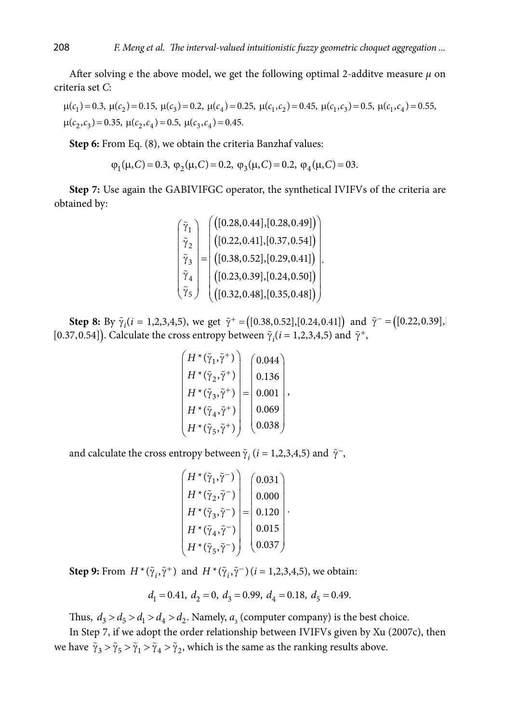After solving e the above model, we get the following optimal 2-additve measure  $\mu$  on criteria set *C*:

 $\mu(c_1) = 0.3, \ \mu(c_2) = 0.15, \ \mu(c_3) = 0.2, \ \mu(c_4) = 0.25, \ \mu(c_1, c_2) = 0.45, \ \mu(c_1, c_3) = 0.5, \ \mu(c_1, c_4) = 0.55,$  $\mu(c_2, c_3) = 0.35, \ \mu(c_2, c_4) = 0.5, \ \mu(c_3, c_4) = 0.45.$ 

**Step 6:** From Eq. (8), we obtain the criteria Banzhaf values:

$$
\varphi_1(\mu, C) = 0.3
$$
,  $\varphi_2(\mu, C) = 0.2$ ,  $\varphi_3(\mu, C) = 0.2$ ,  $\varphi_4(\mu, C) = 03$ .

**Step 7:** Use again the GABIVIFGC operator, the synthetical IVIFVs of the criteria are obtained by:

$$
\begin{pmatrix}\n\tilde{\gamma}_1 \\
\tilde{\gamma}_2 \\
\tilde{\gamma}_3 \\
\tilde{\gamma}_4 \\
\tilde{\gamma}_5\n\end{pmatrix} = \begin{pmatrix}\n([0.28, 0.44], [0.28, 0.49]) \\
([0.22, 0.41], [0.37, 0.54]) \\
([0.28, 0.52], [0.29, 0.41]) \\
([0.23, 0.39], [0.24, 0.50]) \\
([0.32, 0.48], [0.35, 0.48])\n\end{pmatrix}
$$

**Step 8:** By  $\tilde{\gamma}_i$  (*i* = 1,2,3,4,5), we get  $\tilde{\gamma}^+$  = ([0.38,0.52],[0.24,0.41]) and  $\tilde{\gamma}^-$  = ([0.22,0.39], [0.37,0.54]). Calculate the cross entropy between  $\tilde{\gamma}_i (i = 1,2,3,4,5)$  and  $\tilde{\gamma}^+$ ,

$$
\begin{pmatrix} H^*(\tilde{\gamma}_1, \tilde{\gamma}^+) \\ H^*(\tilde{\gamma}_2, \tilde{\gamma}^+) \\ H^*(\tilde{\gamma}_3, \tilde{\gamma}^+) \\ H^*(\tilde{\gamma}_4, \tilde{\gamma}^+) \\ H^*(\tilde{\gamma}_5, \tilde{\gamma}^+) \end{pmatrix} = \begin{pmatrix} 0.044 \\ 0.136 \\ 0.001 \\ 0.069 \\ 0.038 \end{pmatrix},
$$

and calculate the cross entropy between  $\tilde{\gamma}_i$  (*i* = 1,2,3,4,5) and  $\tilde{\gamma}$ <sup>-</sup>,

$$
\begin{pmatrix} H^*(\tilde{\gamma}_1, \tilde{\gamma}^-) \\ H^*(\tilde{\gamma}_2, \tilde{\gamma}^-) \\ H^*(\tilde{\gamma}_3, \tilde{\gamma}^-) \\ H^*(\tilde{\gamma}_4, \tilde{\gamma}^-) \\ H^*(\tilde{\gamma}_5, \tilde{\gamma}^-) \end{pmatrix} = \begin{pmatrix} 0.031 \\ 0.000 \\ 0.120 \\ 0.015 \\ 0.037 \end{pmatrix}.
$$

**Step 9:** From  $H^*(\tilde{\gamma}_i, \tilde{\gamma}^+)$  and  $H^*(\tilde{\gamma}_i, \tilde{\gamma}^-)(i = 1, 2, 3, 4, 5)$ , we obtain:

$$
d_1 = 0.41
$$
,  $d_2 = 0$ ,  $d_3 = 0.99$ ,  $d_4 = 0.18$ ,  $d_5 = 0.49$ .

Thus,  $d_3 > d_5 > d_1 > d_4 > d_2$ . Namely,  $a_3$  (computer company) is the best choice.

In Step 7, if we adopt the order relationship between IVIFVs given by Xu (2007c), then we have  $\tilde{\gamma}_3 > \tilde{\gamma}_5 > \tilde{\gamma}_1 > \tilde{\gamma}_4 > \tilde{\gamma}_2$ , which is the same as the ranking results above.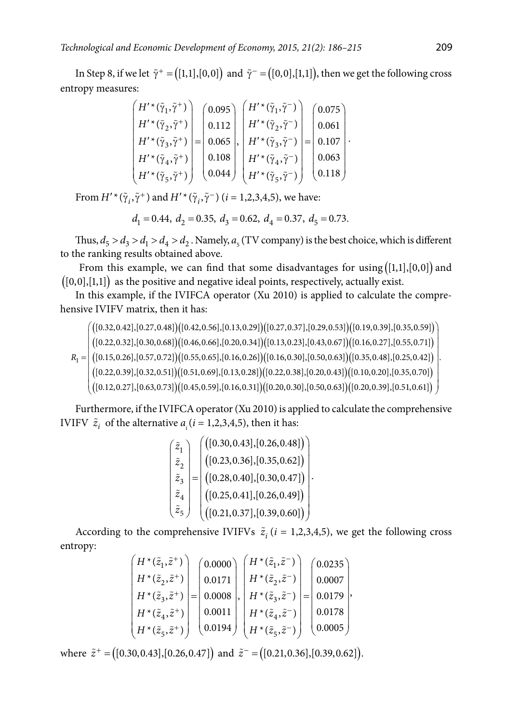In Step 8, if we let  $\tilde{\gamma}^+ = ([1,1],[0,0])$  and  $\tilde{\gamma}^- = ([0,0],[1,1])$ , then we get the following cross entropy measures:

$$
\begin{pmatrix} H'^*(\tilde{\gamma}_1, \tilde{\gamma}^+) \\ H'^*(\tilde{\gamma}_2, \tilde{\gamma}^+) \\ H'^*(\tilde{\gamma}_3, \tilde{\gamma}^+) \\ H'^*(\tilde{\gamma}_4, \tilde{\gamma}^+) \\ H'^*(\tilde{\gamma}_5, \tilde{\gamma}^+) \end{pmatrix} = \begin{pmatrix} 0.095 \\ 0.112 \\ 0.065 \\ 0.065 \\ 0.108 \\ 0.044 \end{pmatrix}, \begin{pmatrix} H'^*(\tilde{\gamma}_1, \tilde{\gamma}^-) \\ H'^*(\tilde{\gamma}_2, \tilde{\gamma}^-) \\ H'^*(\tilde{\gamma}_3, \tilde{\gamma}^-) \\ H'^*(\tilde{\gamma}_4, \tilde{\gamma}^-) \\ H'^*(\tilde{\gamma}_5, \tilde{\gamma}^-) \end{pmatrix} = \begin{pmatrix} 0.075 \\ 0.061 \\ 0.107 \\ 0.003 \\ 0.118 \end{pmatrix}.
$$

From  $H'^{*}(\tilde{\gamma}_{i}, \tilde{\gamma}^{+})$  and  $H'^{*}(\tilde{\gamma}_{i}, \tilde{\gamma}^{-})$  (*i* = 1,2,3,4,5), we have:

$$
d_1 = 0.44
$$
,  $d_2 = 0.35$ ,  $d_3 = 0.62$ ,  $d_4 = 0.37$ ,  $d_5 = 0.73$ .

Thus,  $d_5 > d_3 > d_1 > d_4 > d_2$ . Namely,  $a_5$  (TV company) is the best choice, which is different to the ranking results obtained above.

From this example, we can find that some disadvantages for using  $([1,1],[0,0])$  and  $([0,0],[1,1])$  as the positive and negative ideal points, respectively, actually exist.

In this example, if the IVIFCA operator (Xu 2010) is applied to calculate the comprehensive IVIFV matrix, then it has:

 $\left( \frac{\left( \left[ 0.32, 0.42 \right], \left[ 0.27, 0.48 \right] \right) \left( \left[ 0.42, 0.56 \right], \left[ 0.13, 0.29 \right] \right) \left( \left[ 0.27, 0.37 \right], \left[ 0.29, 0.53 \right] \right) \left( \left[ 0.19, 0.39 \right], \left[ 0.35, 0.59 \right] \right)}{\left( \left[ 0.19, 0.29, 0.51 \right], \left[ 0.19, 0.39 \right], \left[ 0.35, 0.$  $\left([ 0.22, 0.32], [ 0.30, 0.68]\right) \left([ 0.46, 0.66], [ 0.20, 0.34]\right) \left([ 0.13, 0.23], [ 0.43, 0.67]\right) \left([ 0.16, 0.27], [ 0.55, 0.71]\right)$  $R_{\rm l}=\bigr|\, \bigl([0.15,0.26],[0.57,0.72]\bigr)\bigr([0.55,0.65],[0.16,0.26]\bigr)\bigr([0.16,0.30],[0.50,0.63]\bigr)\bigr([0.35,0.48],[0.25,0.42]\bigr)$  $\left([0.22,0.39],[0.32,0.51]\right) \left([0.51,0.69],[0.13,0.28]\right) \left([0.22,0.38],[0.20,0.43]\right) \left([0.10,0.20],[0.35,0.70]\right)$  $\left( \left( [0.12, 0.27], [0.63, 0.73] \right) \left( [0.45, 0.59], [0.16, 0.31] \right) \left( [0.20, 0.30], [0.50, 0.63] \right) \left( [0.20, 0.39], [0.51, 0.61] \right) \right)$ .

Furthermore, if the IVIFCA operator (Xu 2010) is applied to calculate the comprehensive IVIFV  $\tilde{z}_i$  of the alternative  $a_i$  ( $i = 1, 2, 3, 4, 5$ ), then it has:

$$
\begin{pmatrix}\n\tilde{z}_1 \\
\tilde{z}_2 \\
\tilde{z}_3 \\
\tilde{z}_4 \\
\tilde{z}_5\n\end{pmatrix} = \begin{pmatrix}\n([0.30, 0.43], [0.26, 0.48]) \\
([0.23, 0.36], [0.35, 0.62]) \\
([0.28, 0.40], [0.30, 0.47]) \\
([0.25, 0.41], [0.26, 0.49]) \\
([0.21, 0.37], [0.39, 0.60])\n\end{pmatrix}
$$

According to the comprehensive IVIFVs  $\tilde{z}_i$  (*i* = 1,2,3,4,5), we get the following cross entropy:

$$
\begin{pmatrix} H^*(\tilde{z}_1, \tilde{z}^+) \\ H^*(\tilde{z}_2, \tilde{z}^+) \\ H^*(\tilde{z}_3, \tilde{z}^+) \\ H^*(\tilde{z}_4, \tilde{z}^+) \\ H^*(\tilde{z}_5, \tilde{z}^+) \end{pmatrix} = \begin{pmatrix} 0.0000 \\ 0.0171 \\ 0.0008 \\ 0.0008 \\ 0.0111 \\ 0.0194 \end{pmatrix}, \begin{pmatrix} H^*(\tilde{z}_1, \tilde{z}^-) \\ H^*(\tilde{z}_2, \tilde{z}^-) \\ H^*(\tilde{z}_3, \tilde{z}^-) \\ H^*(\tilde{z}_4, \tilde{z}^-) \\ H^*(\tilde{z}_5, \tilde{z}^-) \end{pmatrix} = \begin{pmatrix} 0.0235 \\ 0.0007 \\ 0.0179 \\ 0.0178 \\ 0.0005 \end{pmatrix},
$$

where  $\tilde{z}^+$  =  $([0.30, 0.43], [0.26, 0.47])$  and  $\tilde{z}^-$  =  $([0.21, 0.36], [0.39, 0.62]).$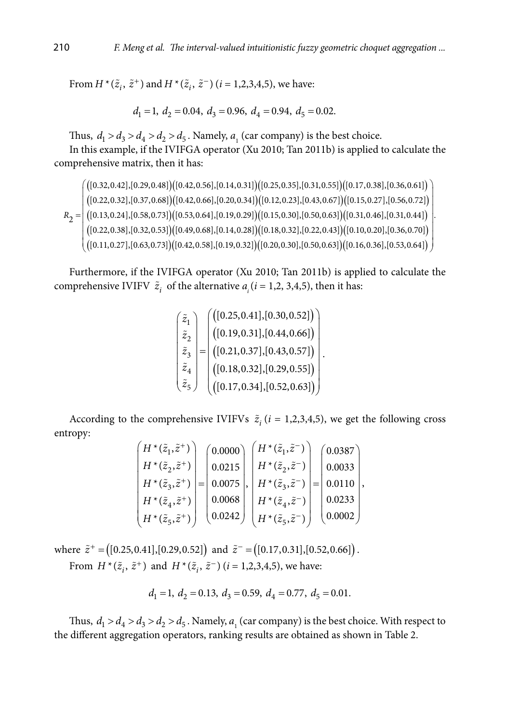From  $H^*(\tilde{z}_i, \tilde{z}^+)$  and  $H^*(\tilde{z}_i, \tilde{z}^-)$  (*i* = 1,2,3,4,5), we have:

$$
d_1 = 1, d_2 = 0.04, d_3 = 0.96, d_4 = 0.94, d_5 = 0.02.
$$

Thus,  $d_1 > d_3 > d_4 > d_2 > d_5$ . Namely,  $a_1$  (car company) is the best choice.

In this example, if the IVIFGA operator (Xu 2010; Tan 2011b) is applied to calculate the comprehensive matrix, then it has:

 $\left( \frac{\left( \left[ 0.32, 0.42 \right], \left[ 0.29, 0.48 \right] \right) \left[ 0.42, 0.56 \right], \left[ 0.14, 0.31 \right] \left( \left[ 0.25, 0.35 \right], \left[ 0.31, 0.55 \right] \right) \left( \left[ 0.17, 0.38 \right], \left[ 0.36, 0.61 \right] \right)}{\left( \left[ 0.25, 0.35 \right], \left[ 0.31, 0.55 \right] \left( \left[ 0.17, 0.38 \right], \left[$  $\left([ 0.22, 0.32], [ 0.37, 0.68]\right) \left([ 0.42, 0.66], [ 0.20, 0.34]\right) \left([ 0.12, 0.23], [ 0.43, 0.67]\right) \left([ 0.15, 0.27], [ 0.56, 0.72]\right)$  $R_2 = \left( \frac{\left( \left[ 0.13, 0.24\right], \left[ 0.58, 0.73\right] \right) \left( \left[ 0.53, 0.64\right], \left[ 0.19, 0.29\right] \right) \left( \left[ 0.15, 0.30\right], \left[ 0.50, 0.63\right] \right) \left( \left[ 0.31, 0.46\right], \left[ 0.31, 0.44\right] \right)}{ \left[ 0.31, 0.46\right], \left[ 0.31, 0.44\right]}$  $\left([0.22,0.38],[0.32,0.53]\right)$   $\left([0.49,0.68],[0.14,0.28]\right)$   $\left([0.18,0.32],[0.22,0.43]\right)$   $\left([0.10,0.20],[0.36,0.70]\right)$  $\left( \left( [0.11, 0.27], [0.63, 0.73] \right) \left( [0.42, 0.58], [0.19, 0.32] \right) \left( [0.20, 0.30], [0.50, 0.63] \right) \left( [0.16, 0.36], [0.53, 0.64] \right) \right)$ .

Furthermore, if the IVIFGA operator (Xu 2010; Tan 2011b) is applied to calculate the comprehensive IVIFV  $\tilde{z}_i$  of the alternative  $a_i$  ( $i = 1, 2, 3, 4, 5$ ), then it has:

$$
\begin{pmatrix}\n\tilde{z}_1 \\
\tilde{z}_2 \\
\tilde{z}_3 \\
\tilde{z}_4 \\
\tilde{z}_5\n\end{pmatrix} = \begin{pmatrix}\n([0.25, 0.41], [0.30, 0.52]) \\
([0.19, 0.31], [0.44, 0.66]) \\
([0.21, 0.37], [0.43, 0.57]) \\
([0.18, 0.32], [0.29, 0.55]) \\
([0.17, 0.34], [0.52, 0.63])\n\end{pmatrix}.
$$

According to the comprehensive IVIFVs  $\tilde{z}_i$  (*i* = 1,2,3,4,5), we get the following cross entropy:

| $(H^*(\tilde{z}_1,\tilde{z}^+))$ | (0.0000) | $H^*(\tilde{z}_1,\tilde{z}^-)$  | (0.0387) |
|----------------------------------|----------|---------------------------------|----------|
| $H^*(\tilde{z}_2, \tilde{z}^+)$  | 0.0215   | $H^*(\tilde{z}_2,\tilde{z}^-)$  | 0.0033   |
| $H^*(\tilde{z}_3, \tilde{z}^+)$  | 0.0075   | $H^*(\tilde{z}_3,\tilde{z}^-)$  | 0.0110   |
| $H^*(\tilde{z}_4, \tilde{z}^+)$  | 0.0068   | $H^*(\tilde{z}_4,\tilde{z}^-)$  | 0.0233   |
| $H^*(\tilde{z}_5, \tilde{z}^+)$  | 0.0242   | $H^*(\tilde{z}_5, \tilde{z}^-)$ | 0.0002   |

where  $\tilde{z}^+$  = ([0.25,0.41],[0.29,0.52]) and  $\tilde{z}^-$  = ([0.17,0.31],[0.52,0.66]). From  $H^*(\tilde{z}_i, \tilde{z}^+)$  and  $H^*(\tilde{z}_i, \tilde{z}^-)$  (*i* = 1,2,3,4,5), we have:

$$
d_1 = 1, d_2 = 0.13, d_3 = 0.59, d_4 = 0.77, d_5 = 0.01.
$$

Thus,  $d_1 > d_4 > d_3 > d_2 > d_5$ . Namely,  $a_1$  (car company) is the best choice. With respect to the different aggregation operators, ranking results are obtained as shown in Table 2.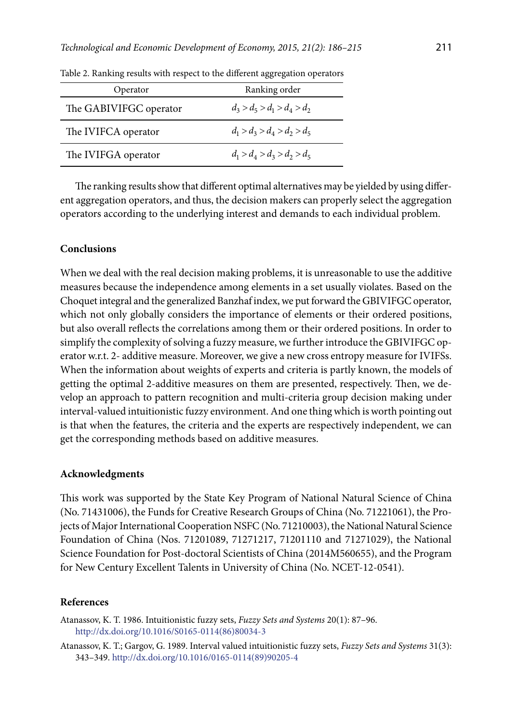| Operator               | Ranking order                 |
|------------------------|-------------------------------|
| The GABIVIFGC operator | $d_3 > d_5 > d_1 > d_4 > d_2$ |
| The IVIFCA operator    | $d_1 > d_2 > d_4 > d_2 > d_5$ |
| The IVIFGA operator    | $d_1 > d_1 > d_2 > d_2 > d_5$ |

Table 2. Ranking results with respect to the different aggregation operators

The ranking results show that different optimal alternatives may be yielded by using different aggregation operators, and thus, the decision makers can properly select the aggregation operators according to the underlying interest and demands to each individual problem.

### **Conclusions**

When we deal with the real decision making problems, it is unreasonable to use the additive measures because the independence among elements in a set usually violates. Based on the Choquet integral and the generalized Banzhaf index, we put forward the GBIVIFGC operator, which not only globally considers the importance of elements or their ordered positions, but also overall reflects the correlations among them or their ordered positions. In order to simplify the complexity of solving a fuzzy measure, we further introduce the GBIVIFGC operator w.r.t. 2- additive measure. Moreover, we give a new cross entropy measure for IVIFSs. When the information about weights of experts and criteria is partly known, the models of getting the optimal 2-additive measures on them are presented, respectively. Then, we develop an approach to pattern recognition and multi-criteria group decision making under interval-valued intuitionistic fuzzy environment. And one thing which is worth pointing out is that when the features, the criteria and the experts are respectively independent, we can get the corresponding methods based on additive measures.

#### **Acknowledgments**

This work was supported by the State Key Program of National Natural Science of China (No. 71431006), the Funds for Creative Research Groups of China (No. 71221061), the Projects of Major International Cooperation NSFC (No. 71210003), the National Natural Science Foundation of China (Nos. 71201089, 71271217, 71201110 and 71271029), the National Science Foundation for Post-doctoral Scientists of China (2014M560655), and the Program for New Century Excellent Talents in University of China (No. NCET-12-0541).

### **References**

Atanassov, K. T. 1986. Intuitionistic fuzzy sets, *Fuzzy Sets and Systems* 20(1): 87–96. [http://dx.doi.org/10.1016/S0165-0114\(86\)80034-3](http://dx.doi.org/10.1016/S0165-0114(86)80034-3)

Atanassov, K. T.; Gargov, G. 1989. Interval valued intuitionistic fuzzy sets, *Fuzzy Sets and Systems* 31(3): 343–349. [http://dx.doi.org/10.1016/0165-0114\(89\)90205-4](http://dx.doi.org/10.1016/0165-0114(89)90205-4)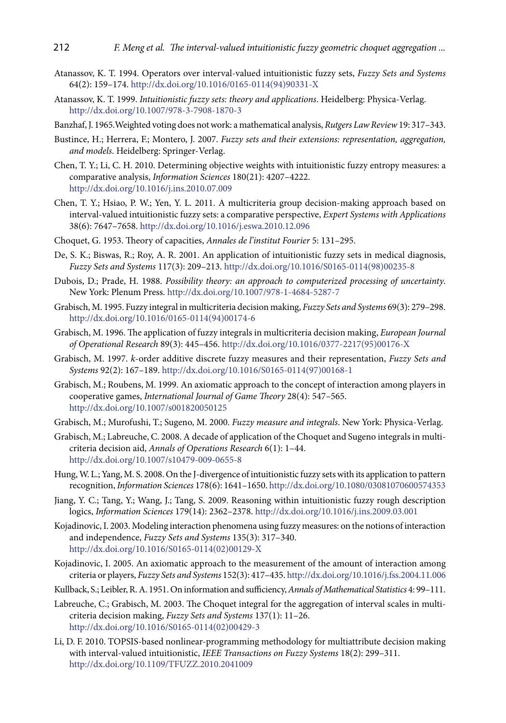- Atanassov, K. T. 1994. Operators over interval-valued intuitionistic fuzzy sets, *Fuzzy Sets and Systems* 64(2): 159–174. [http://dx.doi.org/10.1016/0165-0114\(94\)90331-X](http://dx.doi.org/10.1016/0165-0114(94)90331-X)
- Atanassov, K. T. 1999. *Intuitionistic fuzzy sets: theory and applications*. Heidelberg: Physica-Verlag. <http://dx.doi.org/10.1007/978-3-7908-1870-3>
- Banzhaf, J. 1965.Weighted voting does not work: a mathematical analysis, *Rutgers Law Review* 19: 317–343.
- Bustince, H.; Herrera, F.; Montero, J. 2007. *Fuzzy sets and their extensions: representation, aggregation, and models*. Heidelberg: Springer-Verlag.
- Chen, T. Y.; Li, C. H. 2010. Determining objective weights with intuitionistic fuzzy entropy measures: a comparative analysis, *Information Sciences* 180(21): 4207–4222. <http://dx.doi.org/10.1016/j.ins.2010.07.009>
- Chen, T. Y.; Hsiao, P. W.; Yen, Y. L. 2011. A multicriteria group decision-making approach based on interval-valued intuitionistic fuzzy sets: a comparative perspective, *Expert Systems with Applications* 38(6): 7647–7658. <http://dx.doi.org/10.1016/j.eswa.2010.12.096>
- Choquet, G. 1953. Theory of capacities, *Annales de l'institut Fourier* 5: 131–295.
- De, S. K.; Biswas, R.; Roy, A. R. 2001. An application of intuitionistic fuzzy sets in medical diagnosis, *Fuzzy Sets and Systems* 117(3): 209–213. [http://dx.doi.org/10.1016/S0165-0114\(98\)00235-8](http://dx.doi.org/10.1016/S0165-0114(98)00235-8)
- Dubois, D.; Prade, H. 1988. *Possibility theory: an approach to computerized processing of uncertainty*. New York: Plenum Press.<http://dx.doi.org/10.1007/978-1-4684-5287-7>
- Grabisch, M. 1995. Fuzzy integral in multicriteria decision making, *Fuzzy Sets and Systems* 69(3): 279–298. [http://dx.doi.org/10.1016/0165-0114\(94\)00174-6](http://dx.doi.org/10.1016/0165-0114(94)00174-6)
- Grabisch, M. 1996. The application of fuzzy integrals in multicriteria decision making, *European Journal of Operational Research* 89(3): 445–456. [http://dx.doi.org/10.1016/0377-2217\(95\)00176-X](http://dx.doi.org/10.1016/0377-2217(95)00176-X)
- Grabisch, M. 1997. *k*-order additive discrete fuzzy measures and their representation, *Fuzzy Sets and Systems* 92(2): 167–189. [http://dx.doi.org/10.1016/S0165-0114\(97\)00168-1](http://dx.doi.org/10.1016/S0165-0114(97)00168-1)
- Grabisch, M.; Roubens, M. 1999. An axiomatic approach to the concept of interaction among players in cooperative games, *International Journal of Game Theory* 28(4): 547–565. <http://dx.doi.org/10.1007/s001820050125>
- Grabisch, M.; Murofushi, T.; Sugeno, M. 2000. *Fuzzy measure and integrals*. New York: Physica-Verlag.
- Grabisch, M.; Labreuche, C. 2008. A decade of application of the Choquet and Sugeno integrals in multicriteria decision aid, *Annals of Operations Research* 6(1): 1–44. <http://dx.doi.org/10.1007/s10479-009-0655-8>
- Hung, W. L.; Yang, M. S. 2008. On the J-divergence of intuitionistic fuzzy sets with its application to pattern recognition, *Information Sciences* 178(6): 1641–1650.<http://dx.doi.org/10.1080/03081070600574353>
- Jiang, Y. C.; Tang, Y.; Wang, J.; Tang, S. 2009. Reasoning within intuitionistic fuzzy rough description logics, *Information Sciences* 179(14): 2362–2378.<http://dx.doi.org/10.1016/j.ins.2009.03.001>
- Kojadinovic, I. 2003. Modeling interaction phenomena using fuzzy measures: on the notions of interaction and independence, *Fuzzy Sets and Systems* 135(3): 317–340. [http://dx.doi.org/10.1016/S0165-0114\(02\)00129-X](http://dx.doi.org/10.1016/S0165-0114(02)00129-X)
- Kojadinovic, I. 2005. An axiomatic approach to the measurement of the amount of interaction among criteria or players, *Fuzzy Sets and Systems* 152(3): 417–435.<http://dx.doi.org/10.1016/j.fss.2004.11.006>
- Kullback, S.; Leibler, R. A. 1951. On information and sufficiency, *Annals of Mathematical Statistics* 4: 99–111.
- Labreuche, C.; Grabisch, M. 2003. The Choquet integral for the aggregation of interval scales in multicriteria decision making, *Fuzzy Sets and Systems* 137(1): 11–26. [http://dx.doi.org/10.1016/S0165-0114\(02\)00429-3](http://dx.doi.org/10.1016/S0165-0114(02)00429-3)
- Li, D. F. 2010. TOPSIS-based nonlinear-programming methodology for multiattribute decision making with interval-valued intuitionistic, *IEEE Transactions on Fuzzy Systems* 18(2): 299–311. http://dx.doi.org/[10.1109/TFUZZ.2010.2041009](http://dx.doi.org/10.1109/TFUZZ.2010.2041009)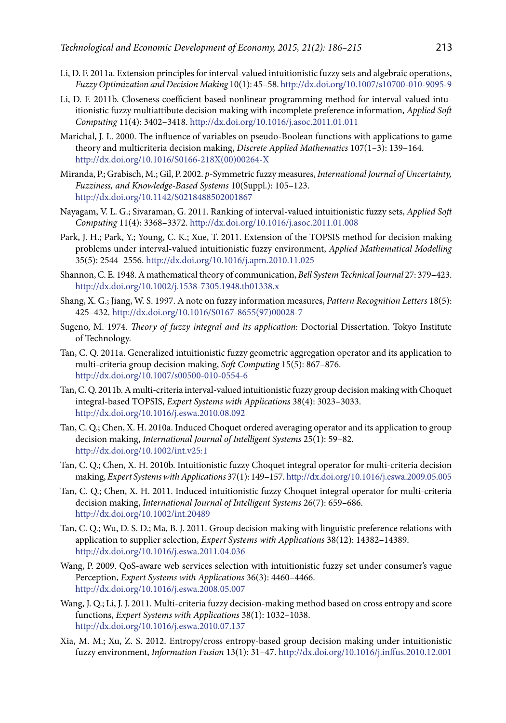- Li, D. F. 2011a. Extension principles for interval-valued intuitionistic fuzzy sets and algebraic operations, *Fuzzy Optimization and Decision Making* 10(1): 45–58.<http://dx.doi.org/10.1007/s10700-010-9095-9>
- Li, D. F. 2011b. Closeness coefficient based nonlinear programming method for interval-valued intuitionistic fuzzy multiattibute decision making with incomplete preference information, *Applied Soft Computing* 11(4): 3402–3418. <http://dx.doi.org/10.1016/j.asoc.2011.01.011>
- Marichal, J. L. 2000. The influence of variables on pseudo-Boolean functions with applications to game theory and multicriteria decision making, *Discrete Applied Mathematics* 107(1–3): 139–164. [http://dx.doi.org/10.1016/S0166-218X\(00\)00264-X](http://dx.doi.org/10.1016/S0166-218X(00)00264-X)
- Miranda, P.; Grabisch, M.; Gil, P. 2002. *p*-Symmetric fuzzy measures, *International Journal of Uncertainty, Fuzziness, and Knowledge-Based Systems* 10(Suppl.): 105–123. <http://dx.doi.org/10.1142/S0218488502001867>
- Nayagam, V. L. G.; Sivaraman, G. 2011. Ranking of interval-valued intuitionistic fuzzy sets, *Applied Soft Computing* 11(4): 3368–3372. <http://dx.doi.org/10.1016/j.asoc.2011.01.008>
- Park, J. H.; Park, Y.; Young, C. K.; Xue, T. 2011. Extension of the TOPSIS method for decision making problems under interval-valued intuitionistic fuzzy environment, *[Applied Mathematical Modelling](http://www.sciencedirect.com/science/journal/0307904X)* 35(5): 2544–2556.<http://dx.doi.org/10.1016/j.apm.2010.11.025>
- Shannon, C. E. 1948. A mathematical theory of communication, *Bell System Technical Journal* 27: 379–423. <http://dx.doi.org/10.1002/j.1538-7305.1948.tb01338.x>
- Shang, X. G.; Jiang, W. S. 1997. A note on fuzzy information measures, *[Pattern Recognition Letters](http://www.journals.elsevier.com/pattern-recognition-letters/)* 18(5): 425–432. [http://dx.doi.org/10.1016/S0167-8655\(97\)00028-7](http://dx.doi.org/10.1016/S0167-8655(97)00028-7)
- Sugeno, M. 1974. *Theory of fuzzy integral and its application*: Doctorial Dissertation. Tokyo Institute of Technology.
- Tan, C. Q. 2011a. Generalized intuitionistic fuzzy geometric aggregation operator and its application to multi-criteria group decision making, *Soft Computing* 15(5): 867–876. <http://dx.doi.org/10.1007/s00500-010-0554-6>
- Tan, C. Q. 2011b. A multi-criteria interval-valued intuitionistic fuzzy group decision making with Choquet integral-based TOPSIS, *Expert Systems with Applications* 38(4): 3023–3033. <http://dx.doi.org/10.1016/j.eswa.2010.08.092>
- Tan, C. Q.; Chen, X. H. 2010a. Induced Choquet ordered averaging operator and its application to group decision making, *[International Journal of Intelligent Systems](http://www.informatik.uni-trier.de/~ley/db/journals/ijis/ijis25.html)* 25(1): 59–82. <http://dx.doi.org/10.1002/int.v25:1>
- Tan, C. Q.; Chen, X. H. 2010b. Intuitionistic fuzzy Choquet integral operator for multi-criteria decision making, *Expert Systems with Applications* 37(1): 149–157.<http://dx.doi.org/10.1016/j.eswa.2009.05.005>
- Tan, C. Q.; Chen, X. H. 2011. Induced intuitionistic fuzzy Choquet integral operator for multi-criteria decision making, *[International Journal of Intelligent Systems](http://www.informatik.uni-trier.de/~ley/db/journals/ijis/ijis25.html)* 26(7): 659–686. <http://dx.doi.org/10.1002/int.20489>
- Tan, C. Q.; Wu, D. S. D.; Ma, B. J. 2011. Group decision making with linguistic preference relations with application to supplier selection, *Expert Systems with Applications* 38(12): 14382–14389. <http://dx.doi.org/10.1016/j.eswa.2011.04.036>
- Wang, P. 2009. QoS-aware web services selection with intuitionistic fuzzy set under consumer's vague Perception, *Expert Systems with Applications* 36(3): 4460–4466. <http://dx.doi.org/10.1016/j.eswa.2008.05.007>
- Wang, J. Q.; Li, J. J. 2011. Multi-criteria fuzzy decision-making method based on cross entropy and score functions, *Expert Systems with Applications* 38(1): 1032–1038. <http://dx.doi.org/10.1016/j.eswa.2010.07.137>
- Xia, M. M.; Xu, Z. S. 2012. Entropy/cross entropy-based group decision making under intuitionistic fuzzy environment, *Information Fusion* 13(1): 31–47.<http://dx.doi.org/10.1016/j.inffus.2010.12.001>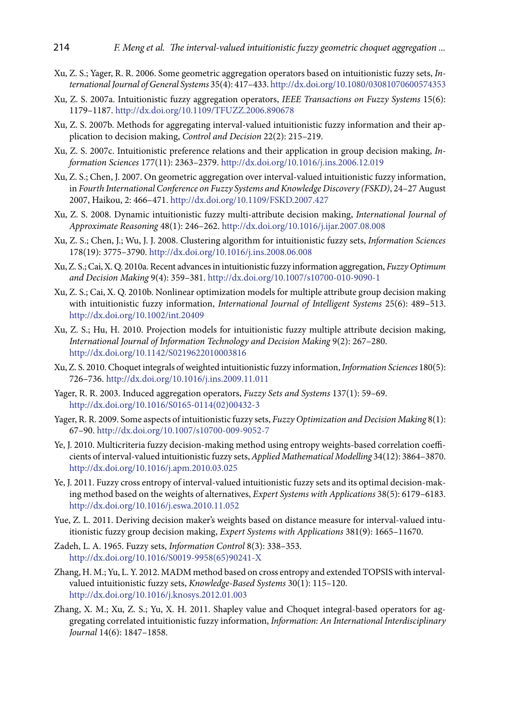- Xu, Z. S.; Yager, R. R. 2006. Some geometric aggregation operators based on intuitionistic fuzzy sets, *International Journal of General Systems* 35(4): 417–433.<http://dx.doi.org/10.1080/03081070600574353>
- Xu, Z. S. 2007a. Intuitionistic fuzzy aggregation operators, *IEEE Transactions on Fuzzy Systems* 15(6): 1179–1187. <http://dx.doi.org/10.1109/TFUZZ.2006.890678>
- Xu, Z. S. 2007b. Methods for aggregating interval-valued intuitionistic fuzzy information and their application to decision making, *Control and Decision* 22(2): 215–219.
- Xu, Z. S. 2007c. Intuitionistic preference relations and their application in group decision making, *Information Sciences* 177(11): 2363–2379.<http://dx.doi.org/10.1016/j.ins.2006.12.019>
- Xu, Z. S.; Chen, J. 2007. On geometric aggregation over interval-valued intuitionistic fuzzy information, in *Fourth International Conference on Fuzzy Systems and Knowledge Discovery (FSKD)*, 24–27 August 2007, Haikou, 2: 466–471.<http://dx.doi.org/10.1109/FSKD.2007.427>
- Xu, Z. S. 2008. Dynamic intuitionistic fuzzy multi-attribute decision making, *International Journal of Approximate Reasoning* 48(1): 246–262. <http://dx.doi.org/10.1016/j.ijar.2007.08.008>
- Xu, Z. S.; Chen, J.; Wu, J. J. 2008. Clustering algorithm for intuitionistic fuzzy sets, *Information Sciences* 178(19): 3775–3790.<http://dx.doi.org/10.1016/j.ins.2008.06.008>
- Xu, Z. S.; Cai, X. Q. 2010a. Recent advances in intuitionistic fuzzy information aggregation, *Fuzzy Optimum and Decision Making* 9(4): 359–381. <http://dx.doi.org/10.1007/s10700-010-9090-1>
- Xu, Z. S.; Cai, X. Q. 2010b. Nonlinear optimization models for multiple attribute group decision making with intuitionistic fuzzy information, *International Journal of Intelligent Systems* 25(6): 489–513. <http://dx.doi.org/10.1002/int.20409>
- Xu, Z. S.; Hu, H. 2010. Projection models for intuitionistic fuzzy multiple attribute decision making, *International Journal of Information Technology and Decision Making* 9(2): 267–280. <http://dx.doi.org/10.1142/S0219622010003816>
- Xu, Z. S. 2010. Choquet integrals of weighted intuitionistic fuzzy information, *Information Sciences* 180(5): 726–736. <http://dx.doi.org/10.1016/j.ins.2009.11.011>
- Yager, R. R. 2003. Induced aggregation operators, *Fuzzy Sets and Systems* 137(1): 59–69. [http://dx.doi.org/10.1016/S0165-0114\(02\)00432-3](http://dx.doi.org/10.1016/S0165-0114(02)00432-3)
- Yager, R. R. 2009. Some aspects of intuitionistic fuzzy sets, *Fuzzy Optimization and Decision Making* 8(1): 67–90.<http://dx.doi.org/10.1007/s10700-009-9052-7>
- Ye, J. 2010. Multicriteria fuzzy decision-making method using entropy weights-based correlation coefficients of interval-valued intuitionistic fuzzy sets, *[Applied Mathematical Modelling](http://www.sciencedirect.com/science/journal/0307904X)* 34(12): 3864–3870. <http://dx.doi.org/10.1016/j.apm.2010.03.025>
- Ye, J. 2011. Fuzzy cross entropy of interval-valued intuitionistic fuzzy sets and its optimal decision-making method based on the weights of alternatives, *Expert Systems with Applications* 38(5): 6179–6183. <http://dx.doi.org/10.1016/j.eswa.2010.11.052>
- Yue, Z. L. 2011. Deriving decision maker's weights based on distance measure for interval-valued intuitionistic fuzzy group decision making, *Expert Systems with Applications* 381(9): 1665–11670.
- Zadeh, L. A. 1965. Fuzzy sets, *Information Control* 8(3): 338–353. [http://dx.doi.org/10.1016/S0019-9958\(65\)90241-X](http://dx.doi.org/10.1016/S0019-9958(65)90241-X)
- Zhang, H. M.; Yu, L. Y. 2012. MADM method based on cross entropy and extended TOPSIS with intervalvalued intuitionistic fuzzy sets, *Knowledge-Based Systems* 30(1): 115–120. <http://dx.doi.org/10.1016/j.knosys.2012.01.003>
- Zhang, X. M.; Xu, Z. S.; Yu, X. H. 2011. Shapley value and Choquet integral-based operators for aggregating correlated intuitionistic fuzzy information, *Information: An International Interdisciplinary Journal* 14(6): 1847–1858.